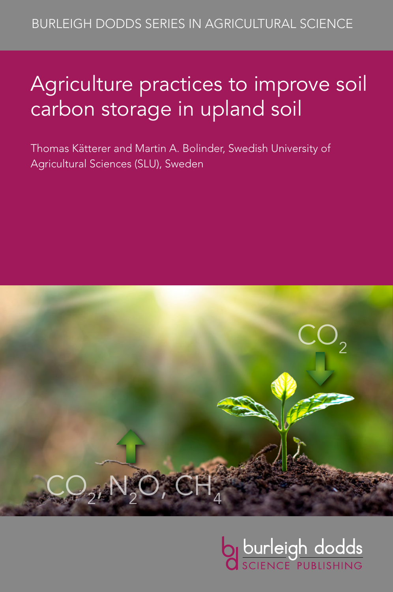# Agriculture practices to improve soil carbon storage in upland soil

Thomas Kätterer and Martin A. Bolinder, Swedish University of Agricultural Sciences (SLU), Sweden



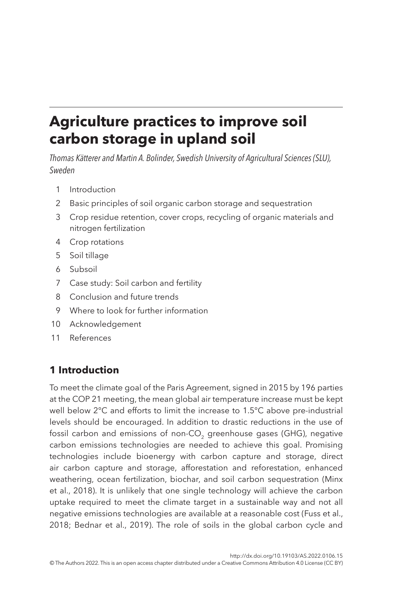# **Agriculture practices to improve soil carbon storage in upland soil**

*Thomas Kätterer and Martin A. Bolinder, Swedish University of Agricultural Sciences (SLU), Sweden*

- <span id="page-1-1"></span>1 [Introduction](#page-1-0)
- <span id="page-1-2"></span>2 [Basic principles of soil organic carbon storage and sequestration](#page-3-0)
- <span id="page-1-3"></span>3 [Crop residue retention, cover crops, recycling of organic materials and](#page-5-0)  [nitrogen fertilization](#page-5-0)
- <span id="page-1-4"></span>4 [Crop rotations](#page-11-0)
- <span id="page-1-5"></span>5 [Soil tillage](#page-13-0)
- <span id="page-1-6"></span>6 [Subsoil](#page-14-0)
- <span id="page-1-7"></span>7 [Case study: Soil carbon and fertility](#page-15-0)
- <span id="page-1-8"></span>8 [Conclusion and future trends](#page-17-0)
- <span id="page-1-9"></span>9 [Where to look for further information](#page-23-0)
- <span id="page-1-10"></span>10 [Acknowledgement](#page-24-0)
- <span id="page-1-11"></span>11 [References](#page-24-1)

# <span id="page-1-0"></span>**[1 Introduction](#page-1-1)**

To meet the climate goal of the Paris Agreement, signed in 2015 by 196 parties at the COP 21 meeting, the mean global air temperature increase must be kept well below 2°C and efforts to limit the increase to 1.5°C above pre-industrial levels should be encouraged. In addition to drastic reductions in the use of fossil carbon and emissions of non-CO<sub>2</sub> greenhouse gases (GHG), negative carbon emissions technologies are needed to achieve this goal. Promising technologies include bioenergy with carbon capture and storage, direct air carbon capture and storage, afforestation and reforestation, enhanced weathering, ocean fertilization, biochar, and soil carbon sequestration [\(Minx](#page-31-0) [et al., 2018\)](#page-31-0). It is unlikely that one single technology will achieve the carbon uptake required to meet the climate target in a sustainable way and not all negative emissions technologies are available at a reasonable cost ([Fuss et al.,](#page-26-0)  [2018;](#page-26-0) [Bednar et al., 2019](#page-25-0)). The role of soils in the global carbon cycle and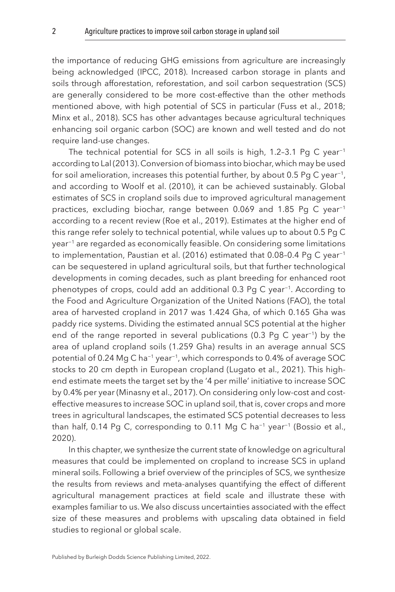the importance of reducing GHG emissions from agriculture are increasingly being acknowledged ([IPCC, 2018\)](#page-28-0). Increased carbon storage in plants and soils through afforestation, reforestation, and soil carbon sequestration (SCS) are generally considered to be more cost-effective than the other methods mentioned above, with high potential of SCS in particular ([Fuss et al., 2018](#page-26-0); [Minx et al., 2018\)](#page-31-0). SCS has other advantages because agricultural techniques enhancing soil organic carbon (SOC) are known and well tested and do not require land-use changes.

The technical potential for SCS in all soils is high, 1.2-3.1 Pg C year<sup>-1</sup> according to [Lal \(2013\).](#page-29-0) Conversion of biomass into biochar, which may be used for soil amelioration, increases this potential further, by about 0.5 Pg C year<sup>-1</sup>, and according to [Woolf et al. \(2010\)](#page-35-0), it can be achieved sustainably. Global estimates of SCS in cropland soils due to improved agricultural management practices, excluding biochar, range between 0.069 and 1.85 Pg C year<sup>-1</sup> according to a recent review [\(Roe et al., 2019\)](#page-33-0). Estimates at the higher end of this range refer solely to technical potential, while values up to about 0.5 Pg C year−1 are regarded as economically feasible. On considering some limitations to implementation, [Paustian et al. \(2016\)](#page-32-0) estimated that 0.08-0.4 Pg C year<sup>-1</sup> can be sequestered in upland agricultural soils, but that further technological developments in coming decades, such as plant breeding for enhanced root phenotypes of crops, could add an additional 0.3 Pg C year<sup>-1</sup>. According to the Food and Agriculture Organization of the United Nations (FAO), the total area of harvested cropland in 2017 was 1.424 Gha, of which 0.165 Gha was paddy rice systems. Dividing the estimated annual SCS potential at the higher end of the range reported in several publications (0.3 Pg C year<sup>-1</sup>) by the area of upland cropland soils (1.259 Gha) results in an average annual SCS potential of 0.24 Mg C ha−1 year−1, which corresponds to 0.4% of average SOC stocks to 20 cm depth in European cropland ([Lugato et al., 2021](#page-30-0)). This highend estimate meets the target set by the '4 per mille' initiative to increase SOC by 0.4% per year ([Minasny et al., 2017](#page-31-1)). On considering only low-cost and costeffective measures to increase SOC in upland soil, that is, cover crops and more trees in agricultural landscapes, the estimated SCS potential decreases to less than half, 0.14 Pg C, corresponding to 0.11 Mg C ha<sup>-1</sup> year<sup>-1</sup> (Bossio et al., [2020\)](#page-25-1).

In this chapter, we synthesize the current state of knowledge on agricultural measures that could be implemented on cropland to increase SCS in upland mineral soils. Following a brief overview of the principles of SCS, we synthesize the results from reviews and meta-analyses quantifying the effect of different agricultural management practices at field scale and illustrate these with examples familiar to us. We also discuss uncertainties associated with the effect size of these measures and problems with upscaling data obtained in field studies to regional or global scale.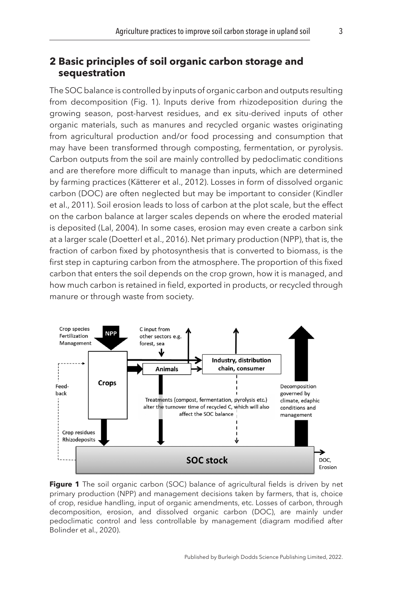# <span id="page-3-0"></span>**[2 Basic principles of soil organic carbon storage and](#page-1-2)  [sequestration](#page-1-2)**

The SOC balance is controlled by inputs of organic carbon and outputs resulting from decomposition (Fig. 1). Inputs derive from rhizodeposition during the growing season, post-harvest residues, and ex situ-derived inputs of other organic materials, such as manures and recycled organic wastes originating from agricultural production and/or food processing and consumption that may have been transformed through composting, fermentation, or pyrolysis. Carbon outputs from the soil are mainly controlled by pedoclimatic conditions and are therefore more difficult to manage than inputs, which are determined by farming practices ([Kätterer et al., 2012\)](#page-28-1). Losses in form of dissolved organic carbon (DOC) are often neglected but may be important to consider [\(Kindler](#page-28-2) [et al., 2011\)](#page-28-2). Soil erosion leads to loss of carbon at the plot scale, but the effect on the carbon balance at larger scales depends on where the eroded material is deposited ([Lal, 2004](#page-29-1)). In some cases, erosion may even create a carbon sink at a larger scale ([Doetterl et al., 2016\)](#page-26-1). Net primary production (NPP), that is, the fraction of carbon fixed by photosynthesis that is converted to biomass, is the first step in capturing carbon from the atmosphere. The proportion of this fixed carbon that enters the soil depends on the crop grown, how it is managed, and how much carbon is retained in field, exported in products, or recycled through manure or through waste from society.



Figure 1 The soil organic carbon (SOC) balance of agricultural fields is driven by net primary production (NPP) and management decisions taken by farmers, that is, choice of crop, residue handling, input of organic amendments, etc. Losses of carbon, through decomposition, erosion, and dissolved organic carbon (DOC), are mainly under pedoclimatic control and less controllable by management (diagram modified after [Bolinder et al., 2020](#page-25-2)).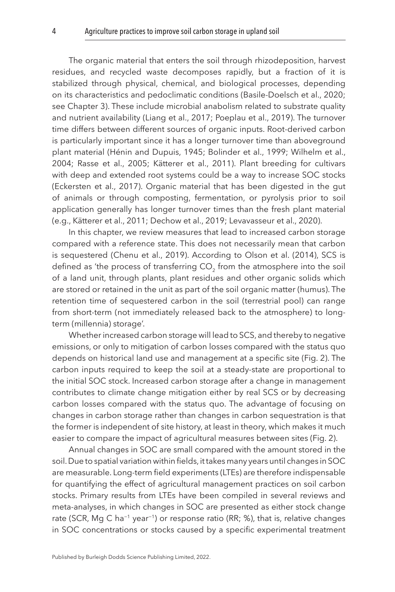The organic material that enters the soil through rhizodeposition, harvest residues, and recycled waste decomposes rapidly, but a fraction of it is stabilized through physical, chemical, and biological processes, depending on its characteristics and pedoclimatic conditions [\(Basile-Doelsch et al., 2020](#page-24-2); see Chapter 3). These include microbial anabolism related to substrate quality and nutrient availability ([Liang et al., 2017;](#page-30-1) [Poeplau et al., 2019\)](#page-32-1). The turnover time differs between different sources of organic inputs. Root-derived carbon is particularly important since it has a longer turnover time than aboveground plant material ([Hénin and Dupuis, 1945](#page-27-0); [Bolinder et al., 1999;](#page-25-3) [Wilhelm et al.,](#page-35-1)  [2004;](#page-35-1) [Rasse et al., 2005](#page-33-1); [Kätterer et al., 2011](#page-28-3)). Plant breeding for cultivars with deep and extended root systems could be a way to increase SOC stocks ([Eckersten et al., 2017\)](#page-26-2). Organic material that has been digested in the gut of animals or through composting, fermentation, or pyrolysis prior to soil application generally has longer turnover times than the fresh plant material (e.g., [Kätterer et al., 2011;](#page-28-3) [Dechow et al., 2019;](#page-26-3) [Levavasseur et al., 2020\)](#page-30-2).

In this chapter, we review measures that lead to increased carbon storage compared with a reference state. This does not necessarily mean that carbon is sequestered ([Chenu et al., 2019](#page-25-4)). According to [Olson et al. \(2014\)](#page-32-2), SCS is defined as 'the process of transferring CO<sub>2</sub> from the atmosphere into the soil of a land unit, through plants, plant residues and other organic solids which are stored or retained in the unit as part of the soil organic matter (humus). The retention time of sequestered carbon in the soil (terrestrial pool) can range from short-term (not immediately released back to the atmosphere) to longterm (millennia) storage'.

Whether increased carbon storage will lead to SCS, and thereby to negative emissions, or only to mitigation of carbon losses compared with the status quo depends on historical land use and management at a specific site ([Fig. 2](#page-5-1)). The carbon inputs required to keep the soil at a steady-state are proportional to the initial SOC stock. Increased carbon storage after a change in management contributes to climate change mitigation either by real SCS or by decreasing carbon losses compared with the status quo. The advantage of focusing on changes in carbon storage rather than changes in carbon sequestration is that the former is independent of site history, at least in theory, which makes it much easier to compare the impact of agricultural measures between sites [\(Fig. 2](#page-5-1)).

Annual changes in SOC are small compared with the amount stored in the soil. Due to spatial variation within fields, it takes many years until changes in SOC are measurable. Long-term field experiments (LTEs) are therefore indispensable for quantifying the effect of agricultural management practices on soil carbon stocks. Primary results from LTEs have been compiled in several reviews and meta-analyses, in which changes in SOC are presented as either stock change rate (SCR, Mg C ha<sup>-1</sup> year<sup>-1</sup>) or response ratio (RR; %), that is, relative changes in SOC concentrations or stocks caused by a specific experimental treatment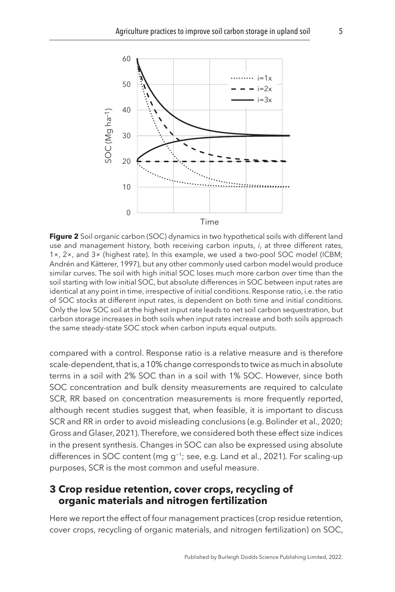<span id="page-5-1"></span>

**Figure 2** Soil organic carbon (SOC) dynamics in two hypothetical soils with different land use and management history, both receiving carbon inputs, *i*, at three different rates, 1×, 2×, and 3× (highest rate). In this example, we used a two-pool SOC model (ICBM; [Andrén and Kätterer, 1997\)](#page-24-3), but any other commonly used carbon model would produce similar curves. The soil with high initial SOC loses much more carbon over time than the soil starting with low initial SOC, but absolute differences in SOC between input rates are identical at any point in time, irrespective of initial conditions. Response ratio, i.e. the ratio of SOC stocks at different input rates, is dependent on both time and initial conditions. Only the low SOC soil at the highest input rate leads to net soil carbon sequestration, but carbon storage increases in both soils when input rates increase and both soils approach the same steady-state SOC stock when carbon inputs equal outputs.

compared with a control. Response ratio is a relative measure and is therefore scale-dependent, that is, a 10% change corresponds to twice as much in absolute terms in a soil with 2% SOC than in a soil with 1% SOC. However, since both SOC concentration and bulk density measurements are required to calculate SCR, RR based on concentration measurements is more frequently reported, although recent studies suggest that, when feasible, it is important to discuss SCR and RR in order to avoid misleading conclusions (e.g. [Bolinder et al., 2020](#page-25-2); [Gross and Glaser, 2021](#page-27-1)). Therefore, we considered both these effect size indices in the present synthesis. Changes in SOC can also be expressed using absolute differences in SOC content (mg g−1; see, e.g. [Land et al., 2021](#page-29-2)). For scaling-up purposes, SCR is the most common and useful measure.

# <span id="page-5-0"></span>**[3 Crop residue retention, cover crops, recycling of](#page-1-3)  [organic materials and nitrogen fertilization](#page-1-3)**

Here we report the effect of four management practices (crop residue retention, cover crops, recycling of organic materials, and nitrogen fertilization) on SOC,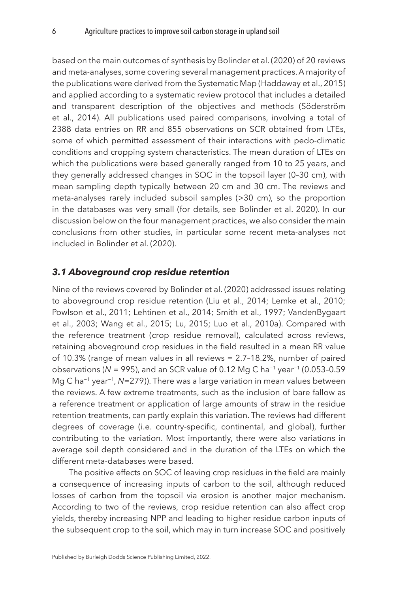based on the main outcomes of synthesis by [Bolinder et al. \(2020\)](#page-25-2) of 20 reviews and meta-analyses, some covering several management practices. A majority of the publications were derived from the Systematic Map ([Haddaway et al., 2015](#page-27-2)) and applied according to a systematic review protocol that includes a detailed and transparent description of the objectives and methods ([Söderström](#page-34-0)  [et al., 2014](#page-34-0)). All publications used paired comparisons, involving a total of 2388 data entries on RR and 855 observations on SCR obtained from LTEs, some of which permitted assessment of their interactions with pedo-climatic conditions and cropping system characteristics. The mean duration of LTEs on which the publications were based generally ranged from 10 to 25 years, and they generally addressed changes in SOC in the topsoil layer (0–30 cm), with mean sampling depth typically between 20 cm and 30 cm. The reviews and meta-analyses rarely included subsoil samples (>30 cm), so the proportion in the databases was very small (for details, see [Bolinder et al. 2020\)](#page-25-2). In our discussion below on the four management practices, we also consider the main conclusions from other studies, in particular some recent meta-analyses not included in [Bolinder et al. \(2020\)](#page-25-2).

#### *3.1 Aboveground crop residue retention*

Nine of the reviews covered by [Bolinder et al. \(2020\)](#page-25-2) addressed issues relating to aboveground crop residue retention ([Liu et al., 2014](#page-30-3); [Lemke et al., 2010](#page-30-4); [Powlson et al., 2011;](#page-33-2) [Lehtinen et al., 2014](#page-30-5); [Smith et al., 1997;](#page-34-1) VandenBygaart et al., [2003](#page-34-2); [Wang et al., 2015;](#page-35-2) [Lu, 2015](#page-30-6); [Luo et al., 2010a\)](#page-30-7). Compared with the reference treatment (crop residue removal), calculated across reviews, retaining aboveground crop residues in the field resulted in a mean RR value of 10.3% (range of mean values in all reviews = 2.7–18.2%, number of paired observations (*N* = 995), and an SCR value of 0.12 Mg C ha−1 year−1 (0.053–0.59 Mg C ha−1 year−1, *N*=279)). There was a large variation in mean values between the reviews. A few extreme treatments, such as the inclusion of bare fallow as a reference treatment or application of large amounts of straw in the residue retention treatments, can partly explain this variation. The reviews had different degrees of coverage (i.e. country-specific, continental, and global), further contributing to the variation. Most importantly, there were also variations in average soil depth considered and in the duration of the LTEs on which the different meta-databases were based.

The positive effects on SOC of leaving crop residues in the field are mainly a consequence of increasing inputs of carbon to the soil, although reduced losses of carbon from the topsoil via erosion is another major mechanism. According to two of the reviews, crop residue retention can also affect crop yields, thereby increasing NPP and leading to higher residue carbon inputs of the subsequent crop to the soil, which may in turn increase SOC and positively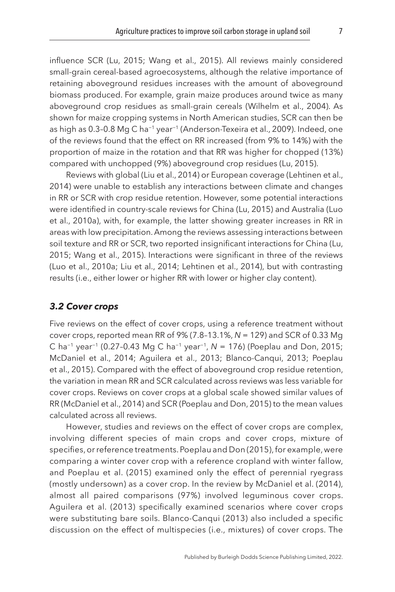influence SCR [\(Lu, 2015;](#page-30-6) [Wang et al., 2015\)](#page-35-2). All reviews mainly considered small-grain cereal-based agroecosystems, although the relative importance of retaining aboveground residues increases with the amount of aboveground biomass produced. For example, grain maize produces around twice as many aboveground crop residues as small-grain cereals ([Wilhelm et al., 2004\)](#page-35-1). As shown for maize cropping systems in North American studies, SCR can then be as high as 0.3–0.8 Mg C ha−1 year−1 ([Anderson-Texeira et al., 2009\)](#page-24-4). Indeed, one of the reviews found that the effect on RR increased (from 9% to 14%) with the proportion of maize in the rotation and that RR was higher for chopped (13%) compared with unchopped (9%) aboveground crop residues [\(Lu, 2015](#page-30-6)).

Reviews with global ([Liu et al., 2014\)](#page-30-3) or European coverage [\(Lehtinen et al.,](#page-30-5) [2014\)](#page-30-5) were unable to establish any interactions between climate and changes in RR or SCR with crop residue retention. However, some potential interactions were identified in country-scale reviews for China [\(Lu, 2015](#page-30-6)) and Australia ([Luo](#page-30-7) [et al., 2010a](#page-30-7)), with, for example, the latter showing greater increases in RR in areas with low precipitation. Among the reviews assessing interactions between soil texture and RR or SCR, two reported insignificant interactions for China [\(Lu,](#page-30-6) [2015;](#page-30-6) [Wang et al., 2015](#page-35-2)). Interactions were significant in three of the reviews ([Luo et al., 2010a;](#page-30-7) [Liu et al., 2014;](#page-30-3) [Lehtinen et al., 2014](#page-30-5)), but with contrasting results (i.e., either lower or higher RR with lower or higher clay content).

#### *3.2 Cover crops*

Five reviews on the effect of cover crops, using a reference treatment without cover crops, reported mean RR of 9% (7.8–13.1%, *N* = 129) and SCR of 0.33 Mg C ha−1 year−1 (0.27–0.43 Mg C ha−1 year−1, *N* = 176) ([Poeplau and Don, 2015](#page-32-3); [McDaniel et al., 2014;](#page-31-2) [Aguilera et al., 2013;](#page-24-5) [Blanco-Canqui, 2013;](#page-25-5) [Poeplau](#page-32-4)  [et al., 2015\)](#page-32-4). Compared with the effect of aboveground crop residue retention, the variation in mean RR and SCR calculated across reviews was less variable for cover crops. Reviews on cover crops at a global scale showed similar values of RR [\(McDaniel et al., 2014](#page-31-2)) and SCR [\(Poeplau and Don, 2015](#page-32-3)) to the mean values calculated across all reviews.

However, studies and reviews on the effect of cover crops are complex, involving different species of main crops and cover crops, mixture of specifies, or reference treatments. [Poeplau and Don \(2015\)](#page-32-3), for example, were comparing a winter cover crop with a reference cropland with winter fallow, and [Poeplau et al. \(2015\)](#page-32-4) examined only the effect of perennial ryegrass (mostly undersown) as a cover crop. In the review by [McDaniel et al. \(2014\),](#page-31-2) almost all paired comparisons (97%) involved leguminous cover crops. [Aguilera et al. \(2013\)](#page-24-5) specifically examined scenarios where cover crops were substituting bare soils. [Blanco-Canqui \(2013\)](#page-25-5) also included a specific discussion on the effect of multispecies (i.e., mixtures) of cover crops. The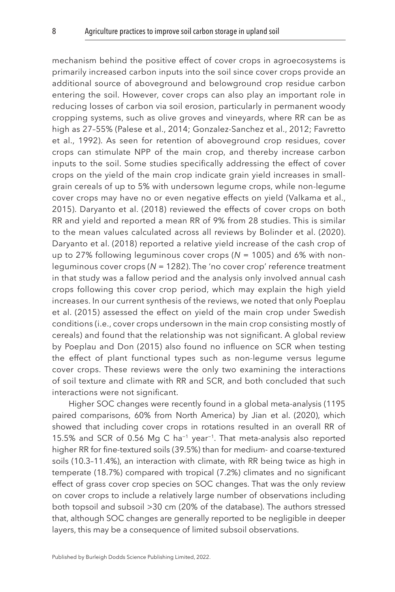mechanism behind the positive effect of cover crops in agroecosystems is primarily increased carbon inputs into the soil since cover crops provide an additional source of aboveground and belowground crop residue carbon entering the soil. However, cover crops can also play an important role in reducing losses of carbon via soil erosion, particularly in permanent woody cropping systems, such as olive groves and vineyards, where RR can be as high as 27–55% [\(Palese et al., 2014;](#page-32-5) [Gonzalez-Sanchez et al., 2012](#page-27-3); [Favretto](#page-26-4)  [et al., 1992\)](#page-26-4). As seen for retention of aboveground crop residues, cover crops can stimulate NPP of the main crop, and thereby increase carbon inputs to the soil. Some studies specifically addressing the effect of cover crops on the yield of the main crop indicate grain yield increases in smallgrain cereals of up to 5% with undersown legume crops, while non-legume cover crops may have no or even negative effects on yield ([Valkama et al.,](#page-34-3)  [2015](#page-34-3)). [Daryanto et al. \(2018\)](#page-26-5) reviewed the effects of cover crops on both RR and yield and reported a mean RR of 9% from 28 studies. This is similar to the mean values calculated across all reviews by [Bolinder et al. \(2020\).](#page-25-2) [Daryanto et al. \(2018\)](#page-26-5) reported a relative yield increase of the cash crop of up to 27% following leguminous cover crops (*N* = 1005) and 6% with nonleguminous cover crops (*N* = 1282). The 'no cover crop' reference treatment in that study was a fallow period and the analysis only involved annual cash crops following this cover crop period, which may explain the high yield increases. In our current synthesis of the reviews, we noted that only [Poeplau](#page-32-4)  [et al. \(2015\)](#page-32-4) assessed the effect on yield of the main crop under Swedish conditions (i.e., cover crops undersown in the main crop consisting mostly of cereals) and found that the relationship was not significant. A global review by [Poeplau and Don \(2015\)](#page-32-3) also found no influence on SCR when testing the effect of plant functional types such as non-legume versus legume cover crops. These reviews were the only two examining the interactions of soil texture and climate with RR and SCR, and both concluded that such interactions were not significant.

Higher SOC changes were recently found in a global meta-analysis (1195 paired comparisons, 60% from North America) by [Jian et al. \(2020\),](#page-28-4) which showed that including cover crops in rotations resulted in an overall RR of 15.5% and SCR of 0.56 Mg C ha−1 year−1. That meta-analysis also reported higher RR for fine-textured soils (39.5%) than for medium- and coarse-textured soils (10.3–11.4%), an interaction with climate, with RR being twice as high in temperate (18.7%) compared with tropical (7.2%) climates and no significant effect of grass cover crop species on SOC changes. That was the only review on cover crops to include a relatively large number of observations including both topsoil and subsoil >30 cm (20% of the database). The authors stressed that, although SOC changes are generally reported to be negligible in deeper layers, this may be a consequence of limited subsoil observations.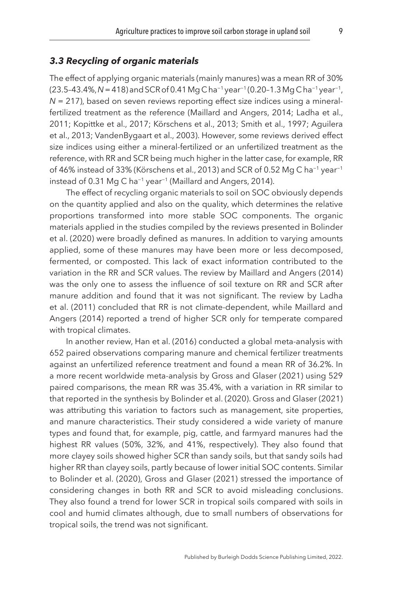#### *3.3 Recycling of organic materials*

The effect of applying organic materials (mainly manures) was a mean RR of 30% (23.5–43.4%, *N* = 418) and SCR of 0.41 Mg C ha−1 year−1 (0.20–1.3 Mg C ha−1 year−1, *N* = 217), based on seven reviews reporting effect size indices using a mineralfertilized treatment as the reference ([Maillard and Angers, 2014](#page-31-3); [Ladha et al.,](#page-29-3)  [2011;](#page-29-3) [Kopittke et al., 2017;](#page-29-4) [Körschens et al., 2013](#page-29-5); [Smith et al., 1997](#page-34-1); [Aguilera](#page-24-5) [et al., 2013;](#page-24-5) VandenBygaart et al., [2003\)](#page-34-2). However, some reviews derived effect size indices using either a mineral-fertilized or an unfertilized treatment as the reference, with RR and SCR being much higher in the latter case, for example, RR of 46% instead of 33% ([Körschens et al., 2013](#page-29-5)) and SCR of 0.52 Mg C ha−1 year−1 instead of 0.31 Mg C ha−1 year−1 ([Maillard and Angers, 2014\)](#page-31-3).

The effect of recycling organic materials to soil on SOC obviously depends on the quantity applied and also on the quality, which determines the relative proportions transformed into more stable SOC components. The organic materials applied in the studies compiled by the reviews presented in [Bolinder](#page-25-2) [et al. \(2020\)](#page-25-2) were broadly defined as manures. In addition to varying amounts applied, some of these manures may have been more or less decomposed, fermented, or composted. This lack of exact information contributed to the variation in the RR and SCR values. The review by [Maillard and Angers \(2014\)](#page-31-3)  was the only one to assess the influence of soil texture on RR and SCR after manure addition and found that it was not significant. The review by [Ladha](#page-29-3)  [et al. \(2011\)](#page-29-3) concluded that RR is not climate-dependent, while [Maillard and](#page-31-3)  [Angers \(2014\)](#page-31-3) reported a trend of higher SCR only for temperate compared with tropical climates.

In another review, [Han et al. \(2016\)](#page-27-4) conducted a global meta-analysis with 652 paired observations comparing manure and chemical fertilizer treatments against an unfertilized reference treatment and found a mean RR of 36.2%. In a more recent worldwide meta-analysis by [Gross and Glaser \(2021\)](#page-27-1) using 529 paired comparisons, the mean RR was 35.4%, with a variation in RR similar to that reported in the synthesis by [Bolinder et al. \(2020\)](#page-25-2). [Gross and Glaser \(2021\)](#page-27-1)  was attributing this variation to factors such as management, site properties, and manure characteristics. Their study considered a wide variety of manure types and found that, for example, pig, cattle, and farmyard manures had the highest RR values (50%, 32%, and 41%, respectively). They also found that more clayey soils showed higher SCR than sandy soils, but that sandy soils had higher RR than clayey soils, partly because of lower initial SOC contents. Similar to [Bolinder et al. \(2020\),](#page-25-2) [Gross and Glaser \(2021\)](#page-27-1) stressed the importance of considering changes in both RR and SCR to avoid misleading conclusions. They also found a trend for lower SCR in tropical soils compared with soils in cool and humid climates although, due to small numbers of observations for tropical soils, the trend was not significant.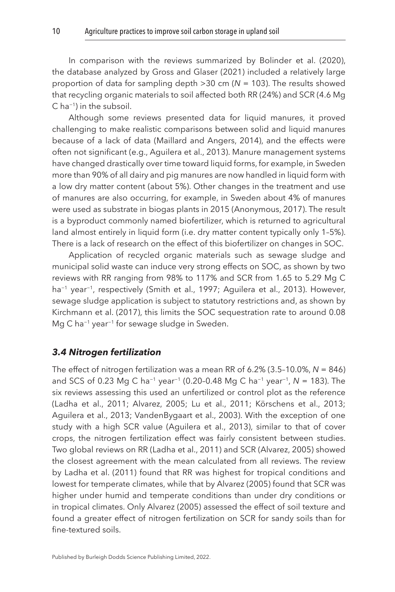In comparison with the reviews summarized by [Bolinder et al. \(2020\),](#page-25-2) the database analyzed by [Gross and Glaser \(2021\)](#page-27-1) included a relatively large proportion of data for sampling depth >30 cm (*N* = 103). The results showed that recycling organic materials to soil affected both RR (24%) and SCR (4.6 Mg C ha−1) in the subsoil.

Although some reviews presented data for liquid manures, it proved challenging to make realistic comparisons between solid and liquid manures because of a lack of data ([Maillard and Angers, 2014](#page-31-3)), and the effects were often not significant (e.g., [Aguilera et al., 2013](#page-24-5)). Manure management systems have changed drastically over time toward liquid forms, for example, in Sweden more than 90% of all dairy and pig manures are now handled in liquid form with a low dry matter content (about 5%). Other changes in the treatment and use of manures are also occurring, for example, in Sweden about 4% of manures were used as substrate in biogas plants in 2015 [\(Anonymous, 2017\)](#page-24-6). The result is a byproduct commonly named biofertilizer, which is returned to agricultural land almost entirely in liquid form (i.e. dry matter content typically only 1–5%). There is a lack of research on the effect of this biofertilizer on changes in SOC.

Application of recycled organic materials such as sewage sludge and municipal solid waste can induce very strong effects on SOC, as shown by two reviews with RR ranging from 98% to 117% and SCR from 1.65 to 5.29 Mg C ha<sup>-1</sup> year<sup>-1</sup>, respectively [\(Smith et al., 1997](#page-34-1); [Aguilera et al., 2013](#page-24-5)). However, sewage sludge application is subject to statutory restrictions and, as shown by [Kirchmann et al. \(2017\),](#page-29-6) this limits the SOC sequestration rate to around 0.08 Mg C ha−1 year−1 for sewage sludge in Sweden.

#### *3.4 Nitrogen fertilization*

The effect of nitrogen fertilization was a mean RR of 6.2% (3.5–10.0%, *N* = 846) and SCS of 0.23 Mg C ha−1 year−1 (0.20–0.48 Mg C ha−1 year−1, *N* = 183). The six reviews assessing this used an unfertilized or control plot as the reference ([Ladha et al., 2011;](#page-29-3) [Alvarez, 2005;](#page-24-7) [Lu et al., 2011;](#page-30-8) [Körschens et al., 2013](#page-29-5); [Aguilera et al., 2013](#page-24-5); VandenBygaart et al., [2003](#page-34-2)). With the exception of one study with a high SCR value [\(Aguilera et al., 2013\)](#page-24-5), similar to that of cover crops, the nitrogen fertilization effect was fairly consistent between studies. Two global reviews on RR [\(Ladha et al., 2011\)](#page-29-3) and SCR (Alvarez, [2005](#page-24-7)) showed the closest agreement with the mean calculated from all reviews. The review by [Ladha et al. \(2011\)](#page-29-3) found that RR was highest for tropical conditions and lowest for temperate climates, while that by Alvarez ([2005](#page-24-7)) found that SCR was higher under humid and temperate conditions than under dry conditions or in tropical climates. Only [Alvarez \(2005\)](#page-24-7) assessed the effect of soil texture and found a greater effect of nitrogen fertilization on SCR for sandy soils than for fine-textured soils.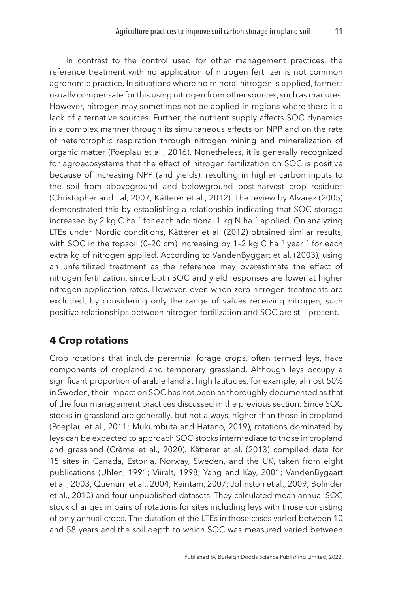In contrast to the control used for other management practices, the reference treatment with no application of nitrogen fertilizer is not common agronomic practice. In situations where no mineral nitrogen is applied, farmers usually compensate for this using nitrogen from other sources, such as manures. However, nitrogen may sometimes not be applied in regions where there is a lack of alternative sources. Further, the nutrient supply affects SOC dynamics in a complex manner through its simultaneous effects on NPP and on the rate of heterotrophic respiration through nitrogen mining and mineralization of organic matter ([Poeplau et al., 2016](#page-32-6)). Nonetheless, it is generally recognized for agroecosystems that the effect of nitrogen fertilization on SOC is positive because of increasing NPP (and yields), resulting in higher carbon inputs to the soil from aboveground and belowground post-harvest crop residues ([Christopher and Lal, 2007](#page-25-6); [Kätterer et al., 2012\)](#page-28-1). The review by [Alvarez \(2005\)](#page-24-7)  demonstrated this by establishing a relationship indicating that SOC storage increased by 2 kg C ha−1 for each additional 1 kg N ha−1 applied. On analyzing LTEs under Nordic conditions, [Kätterer et al. \(2012\)](#page-28-1) obtained similar results, with SOC in the topsoil (0–20 cm) increasing by 1–2 kg C ha<sup>-1</sup> year<sup>-1</sup> for each extra kg of nitrogen applied. According to [VandenByggart et al. \(2003\),](#page-34-2) using an unfertilized treatment as the reference may overestimate the effect of nitrogen fertilization, since both SOC and yield responses are lower at higher nitrogen application rates. However, even when zero-nitrogen treatments are excluded, by considering only the range of values receiving nitrogen, such positive relationships between nitrogen fertilization and SOC are still present.

# <span id="page-11-0"></span>**[4 Crop rotations](#page-1-4)**

Crop rotations that include perennial forage crops, often termed leys, have components of cropland and temporary grassland. Although leys occupy a significant proportion of arable land at high latitudes, for example, almost 50% in Sweden, their impact on SOC has not been as thoroughly documented as that of the four management practices discussed in the previous section. Since SOC stocks in grassland are generally, but not always, higher than those in cropland ([Poeplau et al., 2011;](#page-32-7) [Mukumbuta and Hatano, 2019\)](#page-31-4), rotations dominated by leys can be expected to approach SOC stocks intermediate to those in cropland and grassland [\(Crème et al., 2020\)](#page-26-6). [Kätterer et al. \(2013\)](#page-28-5) compiled data for 15 sites in Canada, Estonia, Norway, Sweden, and the UK, taken from eight publications [\(Uhlen, 1991](#page-34-4); [Viiralt, 1998;](#page-35-3) [Yang and Kay, 2001;](#page-35-4) VandenBygaart et al., [2003;](#page-34-2) [Quenum et al., 2004](#page-33-3); [Reintam, 2007;](#page-33-4) [Johnston et al., 2009;](#page-28-6) [Bolinder](#page-25-7) [et al., 2010](#page-25-7)) and four unpublished datasets. They calculated mean annual SOC stock changes in pairs of rotations for sites including leys with those consisting of only annual crops. The duration of the LTEs in those cases varied between 10 and 58 years and the soil depth to which SOC was measured varied between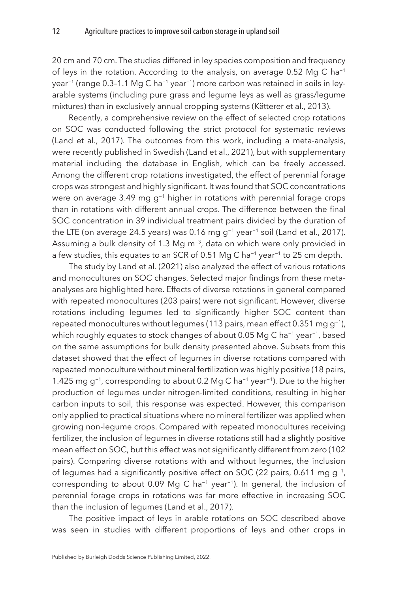20 cm and 70 cm. The studies differed in ley species composition and frequency of leys in the rotation. According to the analysis, on average 0.52 Mg C ha<sup>-1</sup> year−1 (range 0.3–1.1 Mg C ha−1 year−1) more carbon was retained in soils in leyarable systems (including pure grass and legume leys as well as grass/legume mixtures) than in exclusively annual cropping systems [\(Kätterer et al., 2013](#page-28-5)).

Recently, a comprehensive review on the effect of selected crop rotations on SOC was conducted following the strict protocol for systematic reviews ([Land et al., 2017](#page-29-7)). The outcomes from this work, including a meta-analysis, were recently published in Swedish ([Land et al., 2021](#page-29-2)), but with supplementary material including the database in English, which can be freely accessed. Among the different crop rotations investigated, the effect of perennial forage crops was strongest and highly significant. It was found that SOC concentrations were on average 3.49 mg g<sup>-1</sup> higher in rotations with perennial forage crops than in rotations with different annual crops. The difference between the final SOC concentration in 39 individual treatment pairs divided by the duration of the LTE (on average 24.5 years) was 0.16 mg g−1 year−1 soil ([Land et al., 2017](#page-29-7)). Assuming a bulk density of 1.3 Mg m−3, data on which were only provided in a few studies, this equates to an SCR of 0.51 Mg C ha<sup>-1</sup> year<sup>-1</sup> to 25 cm depth.

The study by [Land et al. \(2021\)](#page-29-2) also analyzed the effect of various rotations and monocultures on SOC changes. Selected major findings from these metaanalyses are highlighted here. Effects of diverse rotations in general compared with repeated monocultures (203 pairs) were not significant. However, diverse rotations including legumes led to significantly higher SOC content than repeated monocultures without legumes (113 pairs, mean effect 0.351 mg g−1), which roughly equates to stock changes of about 0.05 Mg C ha<sup>-1</sup> year<sup>-1</sup>, based on the same assumptions for bulk density presented above. Subsets from this dataset showed that the effect of legumes in diverse rotations compared with repeated monoculture without mineral fertilization was highly positive (18 pairs, 1.425 mg g−1, corresponding to about 0.2 Mg C ha−1 year−1). Due to the higher production of legumes under nitrogen-limited conditions, resulting in higher carbon inputs to soil, this response was expected. However, this comparison only applied to practical situations where no mineral fertilizer was applied when growing non-legume crops. Compared with repeated monocultures receiving fertilizer, the inclusion of legumes in diverse rotations still had a slightly positive mean effect on SOC, but this effect was not significantly different from zero (102 pairs). Comparing diverse rotations with and without legumes, the inclusion of legumes had a significantly positive effect on SOC (22 pairs, 0.611 mg g−1, corresponding to about 0.09 Mg C ha−1 year−1). In general, the inclusion of perennial forage crops in rotations was far more effective in increasing SOC than the inclusion of legumes [\(Land et al., 2017\)](#page-29-7).

The positive impact of leys in arable rotations on SOC described above was seen in studies with different proportions of leys and other crops in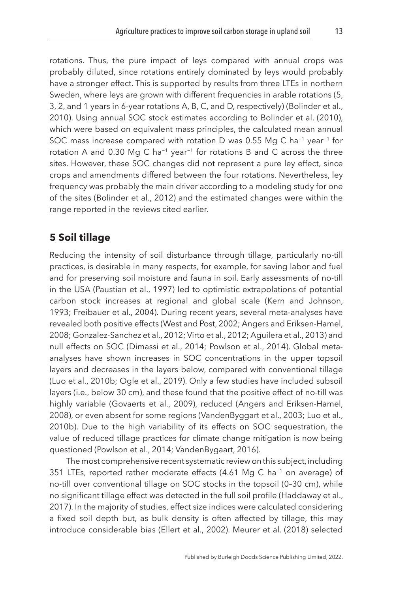rotations. Thus, the pure impact of leys compared with annual crops was probably diluted, since rotations entirely dominated by leys would probably have a stronger effect. This is supported by results from three LTEs in northern Sweden, where leys are grown with different frequencies in arable rotations (5, 3, 2, and 1 years in 6-year rotations A, B, C, and D, respectively) ([Bolinder et al.,](#page-25-7)  [2010\)](#page-25-7). Using annual SOC stock estimates according to [Bolinder et al. \(2010\),](#page-25-7) which were based on equivalent mass principles, the calculated mean annual SOC mass increase compared with rotation D was 0.55 Mg C ha<sup>-1</sup> year<sup>-1</sup> for rotation A and 0.30 Mg C ha<sup>-1</sup> year<sup>-1</sup> for rotations B and C across the three sites. However, these SOC changes did not represent a pure ley effect, since crops and amendments differed between the four rotations. Nevertheless, ley frequency was probably the main driver according to a modeling study for one of the sites [\(Bolinder et al., 2012](#page-25-8)) and the estimated changes were within the range reported in the reviews cited earlier.

# <span id="page-13-0"></span>**[5 Soil tillage](#page-1-5)**

Reducing the intensity of soil disturbance through tillage, particularly no-till practices, is desirable in many respects, for example, for saving labor and fuel and for preserving soil moisture and fauna in soil. Early assessments of no-till in the USA [\(Paustian et al., 1997\)](#page-32-8) led to optimistic extrapolations of potential carbon stock increases at regional and global scale ([Kern and Johnson,](#page-28-7) [1993;](#page-28-7) [Freibauer et al., 2004](#page-26-7)). During recent years, several meta-analyses have revealed both positive effects ([West and Post, 2002](#page-35-5); [Angers and Eriksen-Hamel,](#page-24-8) [2008;](#page-24-8) [Gonzalez-Sanchez et al., 2012;](#page-27-3) [Virto et al., 2012;](#page-35-6) [Aguilera et al., 2013\)](#page-24-5) and null effects on SOC ([Dimassi et al., 2014;](#page-26-8) [Powlson et al., 2014\)](#page-33-5). Global metaanalyses have shown increases in SOC concentrations in the upper topsoil layers and decreases in the layers below, compared with conventional tillage ([Luo et al., 2010b](#page-31-5); [Ogle et al., 2019](#page-32-9)). Only a few studies have included subsoil layers (i.e., below 30 cm), and these found that the positive effect of no-till was highly variable ([Govaerts et al., 2009](#page-27-5)), reduced (Angers and Eriksen-Hamel, 2008), or even absent for some regions [\(VandenByggart et al., 2003;](#page-34-2) [Luo et al.,](#page-31-5)  [2010b\)](#page-31-5). Due to the high variability of its effects on SOC sequestration, the value of reduced tillage practices for climate change mitigation is now being questioned ([Powlson et al., 2014;](#page-33-5) [VandenBygaart, 2016](#page-34-5)).

The most comprehensive recent systematic review on this subject, including 351 LTEs, reported rather moderate effects (4.61 Mg C ha<sup>-1</sup> on average) of no-till over conventional tillage on SOC stocks in the topsoil (0–30 cm), while no significant tillage effect was detected in the full soil profile ([Haddaway et al.,](#page-27-6)  [2017\)](#page-27-6). In the majority of studies, effect size indices were calculated considering a fixed soil depth but, as bulk density is often affected by tillage, this may introduce considerable bias ([Ellert et al., 2002](#page-26-9)). [Meurer et al. \(2018\)](#page-31-6) selected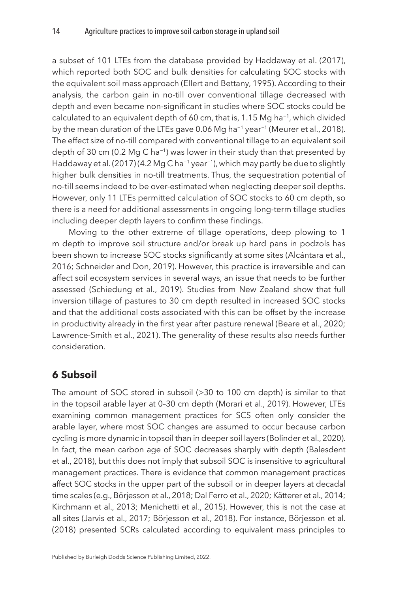a subset of 101 LTEs from the database provided by [Haddaway et al. \(2017\),](#page-27-6) which reported both SOC and bulk densities for calculating SOC stocks with the equivalent soil mass approach [\(Ellert and Bettany, 1995](#page-26-10)). According to their analysis, the carbon gain in no-till over conventional tillage decreased with depth and even became non-significant in studies where SOC stocks could be calculated to an equivalent depth of 60 cm, that is, 1.15 Mg ha−1, which divided by the mean duration of the LTEs gave 0.06 Mg ha−1 year−1 [\(Meurer et al., 2018](#page-31-6)). The effect size of no-till compared with conventional tillage to an equivalent soil depth of 30 cm (0.2 Mg C ha−1) was lower in their study than that presented by [Haddaway et al. \(2017\)](#page-27-6) (4.2 Mg C ha−1 year−1), which may partly be due to slightly higher bulk densities in no-till treatments. Thus, the sequestration potential of no-till seems indeed to be over-estimated when neglecting deeper soil depths. However, only 11 LTEs permitted calculation of SOC stocks to 60 cm depth, so there is a need for additional assessments in ongoing long-term tillage studies including deeper depth layers to confirm these findings.

Moving to the other extreme of tillage operations, deep plowing to 1 m depth to improve soil structure and/or break up hard pans in podzols has been shown to increase SOC stocks significantly at some sites [\(Alcántara et al.,](#page-24-9)  [2016;](#page-24-9) [Schneider and Don, 2019\)](#page-33-6). However, this practice is irreversible and can affect soil ecosystem services in several ways, an issue that needs to be further assessed [\(Schiedung et al., 2019\)](#page-33-7). Studies from New Zealand show that full inversion tillage of pastures to 30 cm depth resulted in increased SOC stocks and that the additional costs associated with this can be offset by the increase in productivity already in the first year after pasture renewal [\(Beare et al., 2020](#page-24-10); [Lawrence-Smith et al., 2021\)](#page-30-9). The generality of these results also needs further consideration.

## <span id="page-14-0"></span>**[6 Subsoil](#page-1-6)**

The amount of SOC stored in subsoil (>30 to 100 cm depth) is similar to that in the topsoil arable layer at 0–30 cm depth [\(Morari et al., 2019\)](#page-31-7). However, LTEs examining common management practices for SCS often only consider the arable layer, where most SOC changes are assumed to occur because carbon cycling is more dynamic in topsoil than in deeper soil layers ([Bolinder et al., 2020](#page-25-2)). In fact, the mean carbon age of SOC decreases sharply with depth [\(Balesdent](#page-24-11)  [et al., 2018](#page-24-11)), but this does not imply that subsoil SOC is insensitive to agricultural management practices. There is evidence that common management practices affect SOC stocks in the upper part of the subsoil or in deeper layers at decadal time scales (e.g., [Börjesson et al., 2018;](#page-25-9) [Dal Ferro et al., 2020](#page-26-11); [Kätterer et al., 2014](#page-28-8); [Kirchmann et al., 2013;](#page-29-8) [Menichetti et al., 2015](#page-31-8)). However, this is not the case at all sites [\(Jarvis et al., 2017](#page-28-9); [Börjesson et al., 2018](#page-25-9)). For instance, [Börjesson et al.](#page-25-9)  [\(2018\)](#page-25-9) presented SCRs calculated according to equivalent mass principles to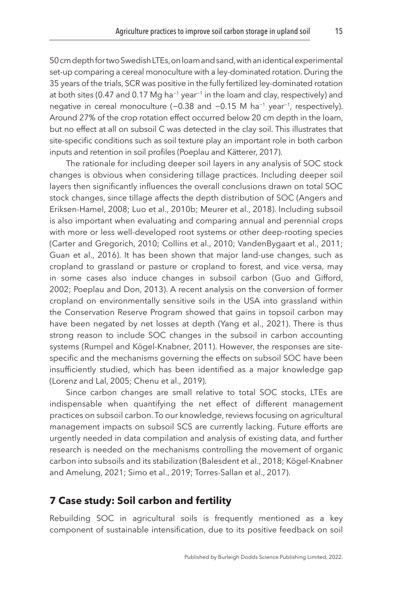50 cm depth for two Swedish LTEs, on loam and sand, with an identical experimental set-up comparing a cereal monoculture with a ley-dominated rotation. During the 35 years of the trials, SCR was positive in the fully fertilized ley-dominated rotation at both sites (0.47 and 0.17 Mg ha<sup>-1</sup> year<sup>-1</sup> in the loam and clay, respectively) and negative in cereal monoculture (-0.38 and -0.15 M ha<sup>-1</sup> year<sup>-1</sup>, respectively). Around 27% of the crop rotation effect occurred below 20 cm depth in the loam, but no effect at all on subsoil C was detected in the clay soil. This illustrates that site-specific conditions such as soil texture play an important role in both carbon inputs and retention in soil profiles ([Poeplau and Kätterer, 2017](#page-32-10)).

The rationale for including deeper soil layers in any analysis of SOC stock changes is obvious when considering tillage practices. Including deeper soil layers then significantly influences the overall conclusions drawn on total SOC stock changes, since tillage affects the depth distribution of SOC [\(Angers and](#page-24-8)  [Eriksen-Hamel, 2008;](#page-24-8) [Luo et al., 2010b](#page-31-5); [Meurer et al., 2018\)](#page-31-6). Including subsoil is also important when evaluating and comparing annual and perennial crops with more or less well-developed root systems or other deep-rooting species ([Carter and Gregorich, 2010](#page-25-10); [Collins et al., 2010;](#page-25-11) [VandenBygaart et al., 2011](#page-34-6); [Guan et al., 2016](#page-27-7)). It has been shown that major land-use changes, such as cropland to grassland or pasture or cropland to forest, and vice versa, may in some cases also induce changes in subsoil carbon ([Guo and Gifford,](#page-27-8)  [2002;](#page-27-8) [Poeplau and Don, 2013](#page-32-11)). A recent analysis on the conversion of former cropland on environmentally sensitive soils in the USA into grassland within the Conservation Reserve Program showed that gains in topsoil carbon may have been negated by net losses at depth ([Yang et al., 2021\)](#page-35-7). There is thus strong reason to include SOC changes in the subsoil in carbon accounting systems ([Rumpel and Kögel-Knabner, 2011\)](#page-33-8). However, the responses are sitespecific and the mechanisms governing the effects on subsoil SOC have been insufficiently studied, which has been identified as a major knowledge gap ([Lorenz and Lal, 2005](#page-30-10); [Chenu et al., 2019\)](#page-25-4).

Since carbon changes are small relative to total SOC stocks, LTEs are indispensable when quantifying the net effect of different management practices on subsoil carbon. To our knowledge, reviews focusing on agricultural management impacts on subsoil SCS are currently lacking. Future efforts are urgently needed in data compilation and analysis of existing data, and further research is needed on the mechanisms controlling the movement of organic carbon into subsoils and its stabilization [\(Balesdent et al., 2018](#page-24-11); [Kögel-Knabner](#page-29-9)  [and Amelung, 2021;](#page-29-9) [Simo et al., 2019;](#page-33-9) [Torres-Sallan et al., 2017](#page-34-7)).

#### <span id="page-15-0"></span>**[7 Case study: Soil carbon and fertility](#page-1-7)**

Rebuilding SOC in agricultural soils is frequently mentioned as a key component of sustainable intensification, due to its positive feedback on soil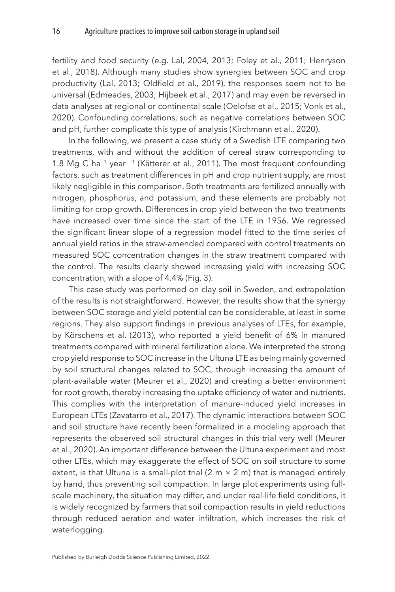fertility and food security (e.g. [Lal, 2004,](#page-29-1) [2013](#page-29-0); [Foley et al., 2011](#page-26-12); [Henryson](#page-27-9)  [et al., 2018\)](#page-27-9). Although many studies show synergies between SOC and crop productivity ([Lal, 2013;](#page-29-0) [Oldfield et al., 2019\)](#page-32-12), the responses seem not to be universal ([Edmeades, 2003;](#page-26-13) [Hijbeek et al., 2017](#page-28-10)) and may even be reversed in data analyses at regional or continental scale ([Oelofse et al., 2015;](#page-31-9) [Vonk et al.,](#page-35-8)  [2020\)](#page-35-8). Confounding correlations, such as negative correlations between SOC and pH, further complicate this type of analysis [\(Kirchmann et al., 2020](#page-29-10)).

In the following, we present a case study of a Swedish LTE comparing two treatments, with and without the addition of cereal straw corresponding to 1.8 Mg C ha−1 year −1 ([Kätterer et al., 2011\)](#page-28-3). The most frequent confounding factors, such as treatment differences in pH and crop nutrient supply, are most likely negligible in this comparison. Both treatments are fertilized annually with nitrogen, phosphorus, and potassium, and these elements are probably not limiting for crop growth. Differences in crop yield between the two treatments have increased over time since the start of the LTE in 1956. We regressed the significant linear slope of a regression model fitted to the time series of annual yield ratios in the straw-amended compared with control treatments on measured SOC concentration changes in the straw treatment compared with the control. The results clearly showed increasing yield with increasing SOC concentration, with a slope of 4.4% ([Fig. 3](#page-17-1)).

This case study was performed on clay soil in Sweden, and extrapolation of the results is not straightforward. However, the results show that the synergy between SOC storage and yield potential can be considerable, at least in some regions. They also support findings in previous analyses of LTEs, for example, by [Körschens et al. \(2013\),](#page-29-5) who reported a yield benefit of 6% in manured treatments compared with mineral fertilization alone. We interpreted the strong crop yield response to SOC increase in the Ultuna LTE as being mainly governed by soil structural changes related to SOC, through increasing the amount of plant-available water ([Meurer et al., 2020\)](#page-31-10) and creating a better environment for root growth, thereby increasing the uptake efficiency of water and nutrients. This complies with the interpretation of manure-induced yield increases in European LTEs [\(Zavatarro et al., 2017\)](#page-35-9). The dynamic interactions between SOC and soil structure have recently been formalized in a modeling approach that represents the observed soil structural changes in this trial very well [\(Meurer](#page-31-10)  [et al., 2020](#page-31-10)). An important difference between the Ultuna experiment and most other LTEs, which may exaggerate the effect of SOC on soil structure to some extent, is that Ultuna is a small-plot trial  $(2 \text{ m} \times 2 \text{ m})$  that is managed entirely by hand, thus preventing soil compaction. In large plot experiments using fullscale machinery, the situation may differ, and under real-life field conditions, it is widely recognized by farmers that soil compaction results in yield reductions through reduced aeration and water infiltration, which increases the risk of waterlogging.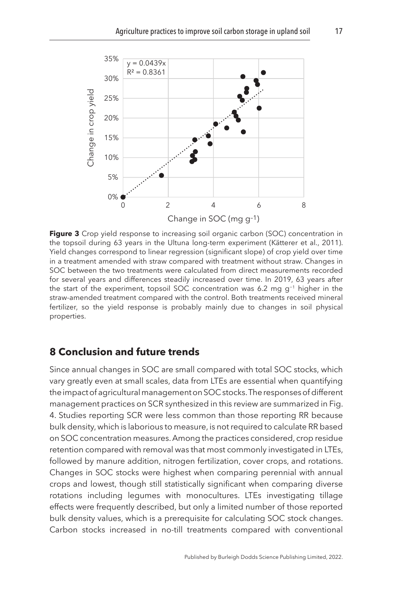<span id="page-17-1"></span>

Figure 3 Crop yield response to increasing soil organic carbon (SOC) concentration in the topsoil during 63 years in the Ultuna long-term experiment [\(Kätterer et al., 2011\)](#page-28-3). Yield changes correspond to linear regression (significant slope) of crop yield over time in a treatment amended with straw compared with treatment without straw. Changes in SOC between the two treatments were calculated from direct measurements recorded for several years and differences steadily increased over time. In 2019, 63 years after the start of the experiment, topsoil SOC concentration was 6.2 mg g−1 higher in the straw-amended treatment compared with the control. Both treatments received mineral fertilizer, so the yield response is probably mainly due to changes in soil physical properties.

# <span id="page-17-0"></span>**[8 Conclusion and future trends](#page-1-8)**

Since annual changes in SOC are small compared with total SOC stocks, which vary greatly even at small scales, data from LTEs are essential when quantifying the impact of agricultural management on SOC stocks. The responses of different management practices on SCR synthesized in this review are summarized in [Fig.](#page-18-0) [4](#page-18-0). Studies reporting SCR were less common than those reporting RR because bulk density, which is laborious to measure, is not required to calculate RR based on SOC concentration measures. Among the practices considered, crop residue retention compared with removal was that most commonly investigated in LTEs, followed by manure addition, nitrogen fertilization, cover crops, and rotations. Changes in SOC stocks were highest when comparing perennial with annual crops and lowest, though still statistically significant when comparing diverse rotations including legumes with monocultures. LTEs investigating tillage effects were frequently described, but only a limited number of those reported bulk density values, which is a prerequisite for calculating SOC stock changes. Carbon stocks increased in no-till treatments compared with conventional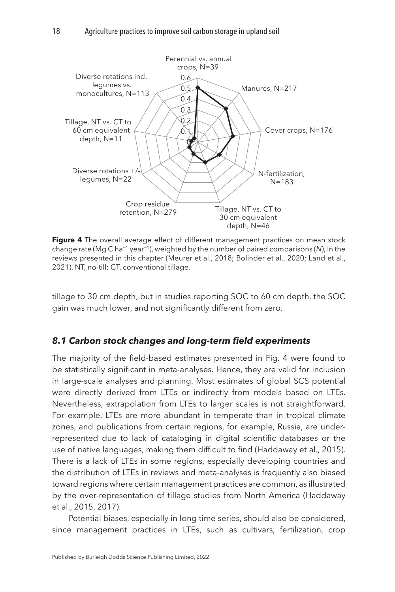<span id="page-18-0"></span>

**Figure 4** The overall average effect of different management practices on mean stock change rate (Mg C ha−1 year−1), weighted by the number of paired comparisons (*N*), in the reviews presented in this chapter [\(Meurer et al., 2018;](#page-31-6) [Bolinder et al., 2020;](#page-25-2) [Land et al.,](#page-29-2)  [2021](#page-29-2)). NT, no-till; CT, conventional tillage.

tillage to 30 cm depth, but in studies reporting SOC to 60 cm depth, the SOC gain was much lower, and not significantly different from zero.

#### *8.1 Carbon stock changes and long-term field experiments*

The majority of the field-based estimates presented in Fig. 4 were found to be statistically significant in meta-analyses. Hence, they are valid for inclusion in large-scale analyses and planning. Most estimates of global SCS potential were directly derived from LTEs or indirectly from models based on LTEs. Nevertheless, extrapolation from LTEs to larger scales is not straightforward. For example, LTEs are more abundant in temperate than in tropical climate zones, and publications from certain regions, for example, Russia, are underrepresented due to lack of cataloging in digital scientific databases or the use of native languages, making them difficult to find ([Haddaway et al., 2015](#page-27-2)). There is a lack of LTEs in some regions, especially developing countries and the distribution of LTEs in reviews and meta-analyses is frequently also biased toward regions where certain management practices are common, as illustrated by the over-representation of tillage studies from North America [\(Haddaway](#page-27-2)  [et al., 2015,](#page-27-2) [2017\)](#page-27-6).

Potential biases, especially in long time series, should also be considered, since management practices in LTEs, such as cultivars, fertilization, crop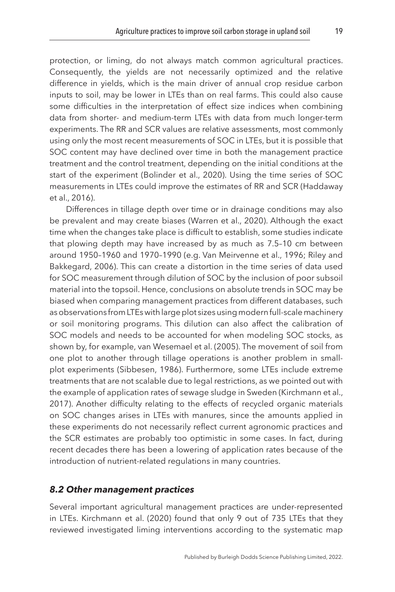protection, or liming, do not always match common agricultural practices. Consequently, the yields are not necessarily optimized and the relative difference in yields, which is the main driver of annual crop residue carbon inputs to soil, may be lower in LTEs than on real farms. This could also cause some difficulties in the interpretation of effect size indices when combining data from shorter- and medium-term LTEs with data from much longer-term experiments. The RR and SCR values are relative assessments, most commonly using only the most recent measurements of SOC in LTEs, but it is possible that SOC content may have declined over time in both the management practice treatment and the control treatment, depending on the initial conditions at the start of the experiment ([Bolinder et al., 2020](#page-25-2)). Using the time series of SOC measurements in LTEs could improve the estimates of RR and SCR ([Haddaway](#page-27-10)  [et al., 2016\)](#page-27-10).

Differences in tillage depth over time or in drainage conditions may also be prevalent and may create biases [\(Warren et al., 2020](#page-35-10)). Although the exact time when the changes take place is difficult to establish, some studies indicate that plowing depth may have increased by as much as 7.5–10 cm between around 1950–1960 and 1970–1990 (e.g. [Van Meirvenne et al., 1996;](#page-34-8) [Riley and](#page-33-10)  [Bakkegard, 2006\)](#page-33-10). This can create a distortion in the time series of data used for SOC measurement through dilution of SOC by the inclusion of poor subsoil material into the topsoil. Hence, conclusions on absolute trends in SOC may be biased when comparing management practices from different databases, such as observations from LTEs with large plot sizes using modern full-scale machinery or soil monitoring programs. This dilution can also affect the calibration of SOC models and needs to be accounted for when modeling SOC stocks, as shown by, for example, van [Wesemael et al. \(2005\).](#page-35-11) The movement of soil from one plot to another through tillage operations is another problem in smallplot experiments [\(Sibbesen, 1986\)](#page-33-11). Furthermore, some LTEs include extreme treatments that are not scalable due to legal restrictions, as we pointed out with the example of application rates of sewage sludge in Sweden ([Kirchmann et al.,](#page-29-6)  [2017\)](#page-29-6). Another difficulty relating to the effects of recycled organic materials on SOC changes arises in LTEs with manures, since the amounts applied in these experiments do not necessarily reflect current agronomic practices and the SCR estimates are probably too optimistic in some cases. In fact, during recent decades there has been a lowering of application rates because of the introduction of nutrient-related regulations in many countries.

#### *8.2 Other management practices*

Several important agricultural management practices are under-represented in LTEs. [Kirchmann et al. \(2020\)](#page-29-10) found that only 9 out of 735 LTEs that they reviewed investigated liming interventions according to the systematic map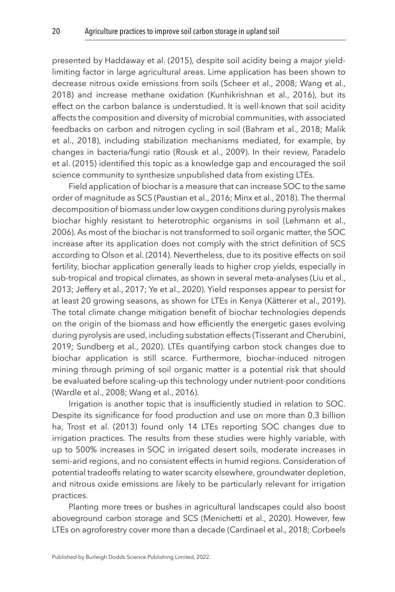presented by [Haddaway et al. \(2015\)](#page-27-2), despite soil acidity being a major yieldlimiting factor in large agricultural areas. Lime application has been shown to decrease nitrous oxide emissions from soils ([Scheer et al., 2008;](#page-33-12) [Wang et al.,](#page-35-12)  [2018\)](#page-35-12) and increase methane oxidation [\(Kunhikrishnan et al., 2016\)](#page-29-11), but its effect on the carbon balance is understudied. It is well-known that soil acidity affects the composition and diversity of microbial communities, with associated feedbacks on carbon and nitrogen cycling in soil ([Bahram et al., 2018](#page-24-12); [Malik](#page-31-11)  [et al., 2018](#page-31-11)), including stabilization mechanisms mediated, for example, by changes in bacteria/fungi ratio ([Rousk et al., 2009](#page-33-13)). In their review, [Paradelo](#page-32-13)  [et al. \(2015\)](#page-32-13) identified this topic as a knowledge gap and encouraged the soil science community to synthesize unpublished data from existing LTEs.

Field application of biochar is a measure that can increase SOC to the same order of magnitude as SCS ([Paustian et al., 2016;](#page-32-0) [Minx et al., 2018\)](#page-31-0). The thermal decomposition of biomass under low oxygen conditions during pyrolysis makes biochar highly resistant to heterotrophic organisms in soil [\(Lehmann et al.,](#page-30-11)  [2006\)](#page-30-11). As most of the biochar is not transformed to soil organic matter, the SOC increase after its application does not comply with the strict definition of SCS according to [Olson et al. \(2014\)](#page-32-2). Nevertheless, due to its positive effects on soil fertility, biochar application generally leads to higher crop yields, especially in sub-tropical and tropical climates, as shown in several meta-analyses ([Liu et al.,](#page-30-12)  [2013;](#page-30-12) [Jeffery et al., 2017;](#page-28-11) [Ye et al., 2020\)](#page-35-13). Yield responses appear to persist for at least 20 growing seasons, as shown for LTEs in Kenya [\(Kätterer et al., 2019](#page-28-12)). The total climate change mitigation benefit of biochar technologies depends on the origin of the biomass and how efficiently the energetic gases evolving during pyrolysis are used, including substation effects [\(Tisserant and Cherubini,](#page-34-9)  [2019;](#page-34-9) [Sundberg et al., 2020\)](#page-34-10). LTEs quantifying carbon stock changes due to biochar application is still scarce. Furthermore, biochar-induced nitrogen mining through priming of soil organic matter is a potential risk that should be evaluated before scaling-up this technology under nutrient-poor conditions ([Wardle et al., 2008](#page-35-14); [Wang et al., 2016](#page-35-15)).

Irrigation is another topic that is insufficiently studied in relation to SOC. Despite its significance for food production and use on more than 0.3 billion ha, [Trost et al. \(2013\)](#page-34-11) found only 14 LTEs reporting SOC changes due to irrigation practices. The results from these studies were highly variable, with up to 500% increases in SOC in irrigated desert soils, moderate increases in semi-arid regions, and no consistent effects in humid regions. Consideration of potential tradeoffs relating to water scarcity elsewhere, groundwater depletion, and nitrous oxide emissions are likely to be particularly relevant for irrigation practices.

Planting more trees or bushes in agricultural landscapes could also boost aboveground carbon storage and SCS [\(Menichetti et al., 2020\)](#page-31-12). However, few LTEs on agroforestry cover more than a decade ([Cardinael et al., 2018](#page-25-12); [Corbeels](#page-25-13)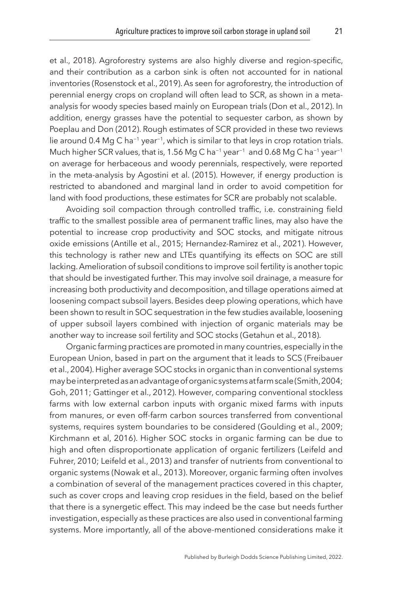[et al., 2018](#page-25-13)). Agroforestry systems are also highly diverse and region-specific, and their contribution as a carbon sink is often not accounted for in national inventories ([Rosenstock et al., 2019](#page-33-14)). As seen for agroforestry, the introduction of perennial energy crops on cropland will often lead to SCR, as shown in a metaanalysis for woody species based mainly on European trials [\(Don et al., 2012\)](#page-26-14). In addition, energy grasses have the potential to sequester carbon, as shown by [Poeplau and Don \(2012\).](#page-32-14) Rough estimates of SCR provided in these two reviews lie around 0.4 Mg C ha−1 year−1, which is similar to that leys in crop rotation trials. Much higher SCR values, that is, 1.56 Mg C ha−1 year−1 and 0.68 Mg C ha−1 year−1 on average for herbaceous and woody perennials, respectively, were reported in the meta-analysis by [Agostini et al. \(2015\)](#page-24-13). However, if energy production is restricted to abandoned and marginal land in order to avoid competition for land with food productions, these estimates for SCR are probably not scalable.

Avoiding soil compaction through controlled traffic, i.e. constraining field traffic to the smallest possible area of permanent traffic lines, may also have the potential to increase crop productivity and SOC stocks, and mitigate nitrous oxide emissions [\(Antille et al., 2015](#page-24-14); [Hernandez-Ramirez et al., 2021](#page-28-13)). However, this technology is rather new and LTEs quantifying its effects on SOC are still lacking. Amelioration of subsoil conditions to improve soil fertility is another topic that should be investigated further. This may involve soil drainage, a measure for increasing both productivity and decomposition, and tillage operations aimed at loosening compact subsoil layers. Besides deep plowing operations, which have been shown to result in SOC sequestration in the few studies available, loosening of upper subsoil layers combined with injection of organic materials may be another way to increase soil fertility and SOC stocks ([Getahun et al., 2018](#page-27-11)).

Organic farming practices are promoted in many countries, especially in the European Union, based in part on the argument that it leads to SCS ([Freibauer](#page-26-7)  [et al., 2004\)](#page-26-7). Higher average SOC stocks in organic than in conventional systems may be interpreted as an advantage of organic systems at farm scale ([Smith, 2004](#page-34-12); [Goh, 2011;](#page-27-12) [Gattinger et al., 2012\)](#page-26-15). However, comparing conventional stockless farms with low external carbon inputs with organic mixed farms with inputs from manures, or even off-farm carbon sources transferred from conventional systems, requires system boundaries to be considered [\(Goulding et al., 2009](#page-27-13); [Kirchmann et al, 2016](#page-29-12)). Higher SOC stocks in organic farming can be due to high and often disproportionate application of organic fertilizers ([Leifeld and](#page-30-13) [Fuhrer, 2010](#page-30-13); [Leifeld et al., 2013\)](#page-30-14) and transfer of nutrients from conventional to organic systems [\(Nowak et al., 2013\)](#page-31-13). Moreover, organic farming often involves a combination of several of the management practices covered in this chapter, such as cover crops and leaving crop residues in the field, based on the belief that there is a synergetic effect. This may indeed be the case but needs further investigation, especially as these practices are also used in conventional farming systems. More importantly, all of the above-mentioned considerations make it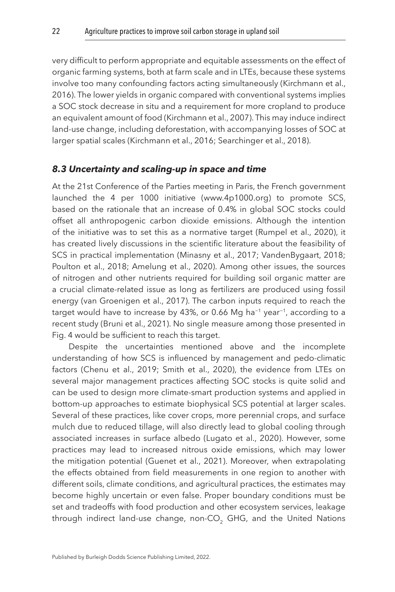very difficult to perform appropriate and equitable assessments on the effect of organic farming systems, both at farm scale and in LTEs, because these systems involve too many confounding factors acting simultaneously ([Kirchmann et al.,](#page-29-12)  [2016\)](#page-29-12). The lower yields in organic compared with conventional systems implies a SOC stock decrease in situ and a requirement for more cropland to produce an equivalent amount of food ([Kirchmann et al., 2007\)](#page-29-13). This may induce indirect land-use change, including deforestation, with accompanying losses of SOC at larger spatial scales ([Kirchmann et al., 2016;](#page-29-12) [Searchinger et al., 2018](#page-33-15)).

#### *8.3 Uncertainty and scaling-up in space and time*

At the 21st Conference of the Parties meeting in Paris, the French government launched the 4 per 1000 initiative [\(www.4p1000.org\)](http://(www.4p1000.org)) to promote SCS, based on the rationale that an increase of 0.4% in global SOC stocks could offset all anthropogenic carbon dioxide emissions. Although the intention of the initiative was to set this as a normative target ([Rumpel et al., 2020\)](#page-33-16), it has created lively discussions in the scientific literature about the feasibility of SCS in practical implementation [\(Minasny et al., 2017;](#page-31-1) VandenBygaart, [2018](#page-34-13); [Poulton et al., 2018](#page-32-15); [Amelung et al., 2020\)](#page-24-15). Among other issues, the sources of nitrogen and other nutrients required for building soil organic matter are a crucial climate-related issue as long as fertilizers are produced using fossil energy [\(van Groenigen et al., 2017](#page-34-14)). The carbon inputs required to reach the target would have to increase by 43%, or 0.66 Mg ha<sup>-1</sup> year<sup>-1</sup>, according to a recent study [\(Bruni et al., 2021\)](#page-25-14). No single measure among those presented in [Fig. 4](#page-18-0) would be sufficient to reach this target.

Despite the uncertainties mentioned above and the incomplete understanding of how SCS is influenced by management and pedo-climatic factors [\(Chenu et al., 2019;](#page-25-4) [Smith et al., 2020](#page-34-15)), the evidence from LTEs on several major management practices affecting SOC stocks is quite solid and can be used to design more climate-smart production systems and applied in bottom-up approaches to estimate biophysical SCS potential at larger scales. Several of these practices, like cover crops, more perennial crops, and surface mulch due to reduced tillage, will also directly lead to global cooling through associated increases in surface albedo ([Lugato et al., 2020](#page-30-15)). However, some practices may lead to increased nitrous oxide emissions, which may lower the mitigation potential ([Guenet et al., 2021](#page-27-14)). Moreover, when extrapolating the effects obtained from field measurements in one region to another with different soils, climate conditions, and agricultural practices, the estimates may become highly uncertain or even false. Proper boundary conditions must be set and tradeoffs with food production and other ecosystem services, leakage through indirect land-use change, non-CO<sub>2</sub> GHG, and the United Nations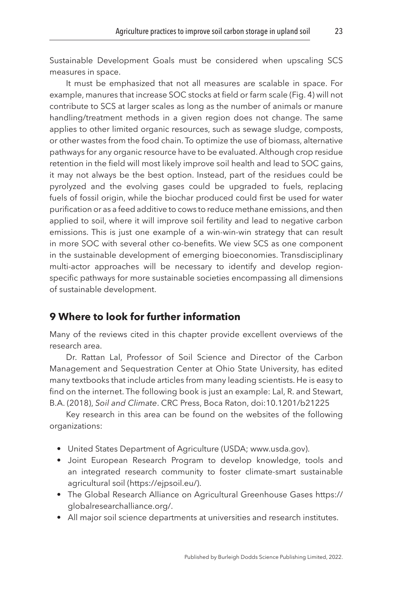Sustainable Development Goals must be considered when upscaling SCS measures in space.

It must be emphasized that not all measures are scalable in space. For example, manures that increase SOC stocks at field or farm scale [\(Fig. 4](#page-18-0)) will not contribute to SCS at larger scales as long as the number of animals or manure handling/treatment methods in a given region does not change. The same applies to other limited organic resources, such as sewage sludge, composts, or other wastes from the food chain. To optimize the use of biomass, alternative pathways for any organic resource have to be evaluated. Although crop residue retention in the field will most likely improve soil health and lead to SOC gains, it may not always be the best option. Instead, part of the residues could be pyrolyzed and the evolving gases could be upgraded to fuels, replacing fuels of fossil origin, while the biochar produced could first be used for water purification or as a feed additive to cows to reduce methane emissions, and then applied to soil, where it will improve soil fertility and lead to negative carbon emissions. This is just one example of a win-win-win strategy that can result in more SOC with several other co-benefits. We view SCS as one component in the sustainable development of emerging bioeconomies. Transdisciplinary multi-actor approaches will be necessary to identify and develop regionspecific pathways for more sustainable societies encompassing all dimensions of sustainable development.

## <span id="page-23-0"></span>**[9 Where to look for further information](#page-1-9)**

Many of the reviews cited in this chapter provide excellent overviews of the research area.

Dr. Rattan Lal, Professor of Soil Science and Director of the Carbon Management and Sequestration Center at Ohio State University, has edited many textbooks that include articles from many leading scientists. He is easy to find on the internet. The following book is just an example: Lal, R. and Stewart, B.A. (2018), *Soil and Climate*. CRC Press, Boca Raton, doi:10.1201/b21225

Key research in this area can be found on the websites of the following organizations:

- United States Department of Agriculture (USDA; www.usda.gov).
- Joint European Research Program to develop knowledge, tools and an integrated research community to foster climate-smart sustainable agricultural soil (https://ejpsoil.eu/).
- The Global Research Alliance on Agricultural Greenhouse Gases [https://](https://globalresearchalliance.org/) [globalresearchalliance.org/.](https://globalresearchalliance.org/)
- All major soil science departments at universities and research institutes.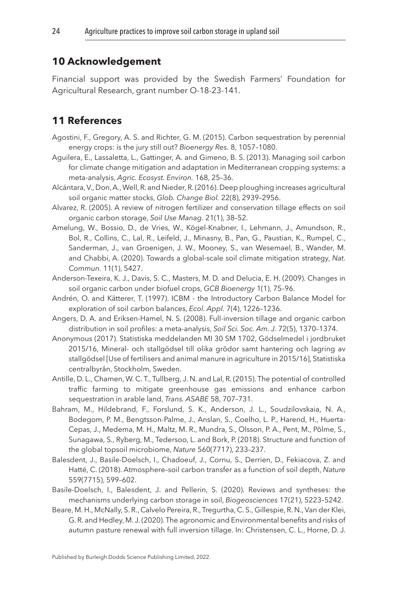# <span id="page-24-0"></span>**[10 Acknowledgement](#page-1-10)**

Financial support was provided by the Swedish Farmers' Foundation for Agricultural Research, grant number O-18-23-141.

# <span id="page-24-1"></span>**[11 References](#page-1-11)**

- <span id="page-24-13"></span>Agostini, F., Gregory, A. S. and Richter, G. M. (2015). Carbon sequestration by perennial energy crops: is the jury still out? *Bioenergy Res.* 8, 1057–1080.
- <span id="page-24-5"></span>Aguilera, E., Lassaletta, L., Gattinger, A. and Gimeno, B. S. (2013). Managing soil carbon for climate change mitigation and adaptation in Mediterranean cropping systems: a meta-analysis, *Agric. Ecosyst. Environ.* 168, 25–36.
- <span id="page-24-9"></span>Alcántara, V., Don, A., Well, R. and Nieder, R. (2016). Deep ploughing increases agricultural soil organic matter stocks, *Glob. Change Biol.* 22(8), 2939–2956.
- <span id="page-24-7"></span>Alvarez, R. (2005). A review of nitrogen fertilizer and conservation tillage effects on soil organic carbon storage, *Soil Use Manag.* 21(1), 38–52.
- <span id="page-24-15"></span>Amelung, W., Bossio, D., de Vries, W., Kögel-Knabner, I., Lehmann, J., Amundson, R., Bol, R., Collins, C., Lal, R., Leifeld, J., Minasny, B., Pan, G., Paustian, K., Rumpel, C., Sanderman, J., van Groenigen, J. W., Mooney, S., van Wesemael, B., Wander, M. and Chabbi, A. (2020). Towards a global-scale soil climate mitigation strategy, *Nat. Commun.* 11(1), 5427.
- <span id="page-24-4"></span>Anderson-Texeira, K. J., Davis, S. C., Masters, M. D. and Delucia, E. H. (2009). Changes in soil organic carbon under biofuel crops, *GCB Bioenergy* 1(1), 75–96.
- <span id="page-24-3"></span>Andrén, O. and Kätterer, T. (1997). ICBM - the Introductory Carbon Balance Model for exploration of soil carbon balances, *Ecol. Appl.* 7(4), 1226–1236.
- <span id="page-24-8"></span>Angers, D. A. and Eriksen-Hamel, N. S. (2008). Full-inversion tillage and organic carbon distribution in soil profiles: a meta-analysis, *Soil Sci. Soc. Am. J.* 72(5), 1370–1374.
- <span id="page-24-6"></span>Anonymous (2017). Statistiska meddelanden MI 30 SM 1702, Gödselmedel i jordbruket 2015/16, Mineral- och stallgödsel till olika grödor samt hantering och lagring av stallgödsel [Use of fertilisers and animal manure in agriculture in 2015/16], Statistiska centralbyrån, Stockholm, Sweden.
- <span id="page-24-14"></span>Antille, D. L., Chamen, W. C. T., Tullberg, J. N. and Lal, R. (2015). The potential of controlled traffic farming to mitigate greenhouse gas emissions and enhance carbon sequestration in arable land, *Trans. ASABE* 58, 707–731.
- <span id="page-24-12"></span>Bahram, M., Hildebrand, F., Forslund, S. K., Anderson, J. L., Soudzilovskaia, N. A., Bodegom, P. M., Bengtsson-Palme, J., Anslan, S., Coelho, L. P., Harend, H., Huerta-Cepas, J., Medema, M. H., Maltz, M. R., Mundra, S., Olsson, P. A., Pent, M., Põlme, S., Sunagawa, S., Ryberg, M., Tedersoo, L. and Bork, P. (2018). Structure and function of the global topsoil microbiome, *Nature* 560(7717), 233–237.
- <span id="page-24-11"></span>Balesdent, J., Basile-Doelsch, I., Chadoeuf, J., Cornu, S., Derrien, D., Fekiacova, Z. and Hatté, C. (2018). Atmosphere–soil carbon transfer as a function of soil depth, *Nature* 559(7715), 599–602.
- <span id="page-24-2"></span>Basile-Doelsch, I., Balesdent, J. and Pellerin, S. (2020). Reviews and syntheses: the mechanisms underlying carbon storage in soil, *Biogeosciences* 17(21), 5223–5242.
- <span id="page-24-10"></span>Beare, M. H., McNally, S. R., Calvelo Pereira, R., Tregurtha, C. S., Gillespie, R. N., Van der Klei, G. R. and Hedley, M. J. (2020). The agronomic and Environmental benefits and risks of autumn pasture renewal with full inversion tillage. In: Christensen, C. L., Horne, D. J.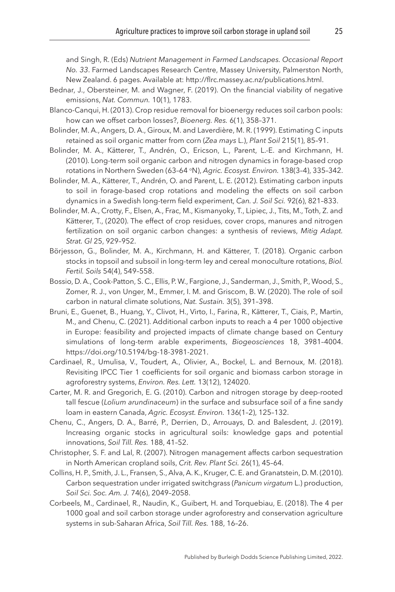and Singh, R. (Eds) *Nutrient Management in Farmed Landscapes. Occasional Report No. 33*. Farmed Landscapes Research Centre, Massey University, Palmerston North, New Zealand. 6 pages. Available at: [http://flrc.massey.ac.nz/publications.html](http://dx.doi.org/http://flrc.massey.ac.nz/publications.html﻿).

- <span id="page-25-0"></span>Bednar, J., Obersteiner, M. and Wagner, F. (2019). On the financial viability of negative emissions, *Nat. Commun.* 10(1), 1783.
- <span id="page-25-5"></span>Blanco-Canqui, H. (2013). Crop residue removal for bioenergy reduces soil carbon pools: how can we offset carbon losses?, *Bioenerg. Res.* 6(1), 358–371.
- <span id="page-25-3"></span>Bolinder, M. A., Angers, D. A., Giroux, M. and Laverdière, M. R. (1999). Estimating C inputs retained as soil organic matter from corn (*Zea mays* L.), *Plant Soil* 215(1), 85–91.
- <span id="page-25-7"></span>Bolinder, M. A., Kätterer, T., Andrén, O., Ericson, L., Parent, L.-E. and Kirchmann, H. (2010). Long-term soil organic carbon and nitrogen dynamics in forage-based crop rotations in Northern Sweden (63–64 oN), *Agric. Ecosyst. Environ.* 138(3–4), 335–342.
- <span id="page-25-8"></span>Bolinder, M. A., Kätterer, T., Andrén, O. and Parent, L. E. (2012). Estimating carbon inputs to soil in forage-based crop rotations and modeling the effects on soil carbon dynamics in a Swedish long-term field experiment, *Can. J. Soil Sci.* 92(6), 821–833.
- <span id="page-25-2"></span>Bolinder, M. A., Crotty, F., Elsen, A., Frac, M., Kismanyoky, T., Lipiec, J., Tits, M., Toth, Z. and Kätterer, T., (2020). The effect of crop residues, cover crops, manures and nitrogen fertilization on soil organic carbon changes: a synthesis of reviews, *Mitig Adapt. Strat. Gl* 25, 929–952.
- <span id="page-25-9"></span>Börjesson, G., Bolinder, M. A., Kirchmann, H. and Kätterer, T. (2018). Organic carbon stocks in topsoil and subsoil in long-term ley and cereal monoculture rotations, *Biol. Fertil. Soils* 54(4), 549–558.
- <span id="page-25-1"></span>Bossio, D. A., Cook-Patton, S. C., Ellis, P. W., Fargione, J., Sanderman, J., Smith, P., Wood, S., Zomer, R. J., von Unger, M., Emmer, I. M. and Griscom, B. W. (2020). The role of soil carbon in natural climate solutions, *Nat. Sustain.* 3(5), 391–398.
- <span id="page-25-14"></span>Bruni, E., Guenet, B., Huang, Y., Clivot, H., Virto, I., Farina, R., Kätterer, T., Ciais, P., Martin, M., and Chenu, C. (2021). Additional carbon inputs to reach a 4 per 1000 objective in Europe: feasibility and projected impacts of climate change based on Century simulations of long-term arable experiments, *Biogeosciences* 18, 3981–4004. https://doi.org/10.5194/bg-18-3981-2021.
- <span id="page-25-12"></span>Cardinael, R., Umulisa, V., Toudert, A., Olivier, A., Bockel, L. and Bernoux, M. (2018). Revisiting IPCC Tier 1 coefficients for soil organic and biomass carbon storage in agroforestry systems, *Environ. Res. Lett.* 13(12), 124020.
- <span id="page-25-10"></span>Carter, M. R. and Gregorich, E. G. (2010). Carbon and nitrogen storage by deep-rooted tall fescue (*Lolium arundinaceum*) in the surface and subsurface soil of a fine sandy loam in eastern Canada, *Agric. Ecosyst. Environ.* 136(1–2), 125–132.
- <span id="page-25-4"></span>Chenu, C., Angers, D. A., Barré, P., Derrien, D., Arrouays, D. and Balesdent, J. (2019). Increasing organic stocks in agricultural soils: knowledge gaps and potential innovations, *Soil Till. Res.* 188, 41–52.
- <span id="page-25-6"></span>Christopher, S. F. and Lal, R. (2007). Nitrogen management affects carbon sequestration in North American cropland soils, *Crit. Rev. Plant Sci.* 26(1), 45–64.
- <span id="page-25-11"></span>Collins, H. P., Smith, J. L., Fransen, S., Alva, A. K., Kruger, C. E. and Granatstein, D. M. (2010). Carbon sequestration under irrigated switchgrass (*Panicum virgatum* L.) production, *Soil Sci. Soc. Am. J.* 74(6), 2049–2058.
- <span id="page-25-13"></span>Corbeels, M., Cardinael, R., Naudin, K., Guibert, H. and Torquebiau, E. (2018). The 4 per 1000 goal and soil carbon storage under agroforestry and conservation agriculture systems in sub-Saharan Africa, *Soil Till. Res.* 188, 16–26.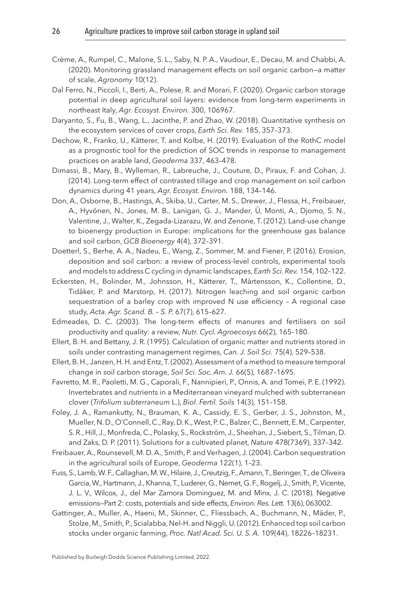- <span id="page-26-6"></span>Crème, A., Rumpel, C., Malone, S. L., Saby, N. P. A., Vaudour, E., Decau, M. and Chabbi, A. (2020). Monitoring grassland management effects on soil organic carbon—a matter of scale, *Agronomy* 10(12).
- <span id="page-26-11"></span>Dal Ferro, N., Piccoli, I., Berti, A., Polese, R. and Morari, F. (2020). Organic carbon storage potential in deep agricultural soil layers: evidence from long-term experiments in northeast Italy, *Agr. Ecosyst. Environ.* 300, 106967.
- <span id="page-26-5"></span>Daryanto, S., Fu, B., Wang, L., Jacinthe, P. and Zhao, W. (2018). Quantitative synthesis on the ecosystem services of cover crops, *Earth Sci. Rev.* 185, 357–373.
- <span id="page-26-3"></span>Dechow, R., Franko, U., Kätterer, T. and Kolbe, H. (2019). Evaluation of the RothC model as a prognostic tool for the prediction of SOC trends in response to management practices on arable land, *Geoderma* 337, 463–478.
- <span id="page-26-8"></span>Dimassi, B., Mary, B., Wylleman, R., Labreuche, J., Couture, D., Piraux, F. and Cohan, J. (2014). Long-term effect of contrasted tillage and crop management on soil carbon dynamics during 41 years, *Agr. Ecosyst. Environ.* 188, 134–146.
- <span id="page-26-14"></span>Don, A., Osborne, B., Hastings, A., Skiba, U., Carter, M. S., Drewer, J., Flessa, H., Freibauer, A., Hyvönen, N., Jones, M. B., Lanigan, G. J., Mander, Ü, Monti, A., Djomo, S. N., Valentine, J., Walter, K., Zegada-Lizarazu, W. and Zenone, T. (2012). Land-use change to bioenergy production in Europe: implications for the greenhouse gas balance and soil carbon, *GCB Bioenergy* 4(4), 372–391.
- <span id="page-26-1"></span>Doetterl, S., Berhe, A. A., Nadeu, E., Wang, Z., Sommer, M. and Fiener, P. (2016). Erosion, deposition and soil carbon: a review of process-level controls, experimental tools and models to address C cycling in dynamic landscapes, *Earth Sci. Rev.* 154, 102–122.
- <span id="page-26-2"></span>Eckersten, H., Bolinder, M., Johnsson, H., Kätterer, T., Mårtensson, K., Collentine, D., Tidåker, P. and Marstorp, H. (2017). Nitrogen leaching and soil organic carbon sequestration of a barley crop with improved N use efficiency – A regional case study, *Acta. Agr. Scand. B. – S. P.* 67(7), 615–627.
- <span id="page-26-13"></span>Edmeades, D. C. (2003). The long-term effects of manures and fertilisers on soil productivity and quality: a review, *Nutr. Cycl. Agroecosys* 66(2), 165–180.
- <span id="page-26-10"></span>Ellert, B. H. and Bettany, J. R. (1995). Calculation of organic matter and nutrients stored in soils under contrasting management regimes, *Can. J. Soil Sci.* 75(4), 529–538.
- <span id="page-26-9"></span>Ellert, B. H., Janzen, H. H. and Entz, T. (2002). Assessment of a method to measure temporal change in soil carbon storage, *Soil Sci. Soc. Am. J.* 66(5), 1687–1695.
- <span id="page-26-4"></span>Favretto, M. R., Paoletti, M. G., Caporali, F., Nannipieri, P., Onnis, A. and Tomei, P. E. (1992). Invertebrates and nutrients in a Mediterranean vineyard mulched with subterranean clover (*Trifolium subterraneum* L.), *Biol. Fertil. Soils* 14(3), 151–158.
- <span id="page-26-12"></span>Foley, J. A., Ramankutty, N., Brauman, K. A., Cassidy, E. S., Gerber, J. S., Johnston, M., Mueller, N. D., O'Connell, C., Ray, D. K., West, P. C., Balzer, C., Bennett, E. M., Carpenter, S. R., Hill, J., Monfreda, C., Polasky, S., Rockström, J., Sheehan, J., Siebert, S., Tilman, D. and Zaks, D. P. (2011). Solutions for a cultivated planet, *Nature* 478(7369), 337–342.
- <span id="page-26-7"></span>Freibauer, A., Rounsevell, M. D. A., Smith, P. and Verhagen, J. (2004). Carbon sequestration in the agricultural soils of Europe, *Geoderma* 122(1), 1–23.
- <span id="page-26-0"></span>Fuss, S., Lamb, W. F., Callaghan, M. W., Hilaire, J., Creutzig, F., Amann, T., Beringer, T., de Oliveira Garcia, W., Hartmann, J., Khanna, T., Luderer, G., Nemet, G. F., Rogelj, J., Smith, P., Vicente, J. L. V., Wilcox, J., del Mar Zamora Dominguez, M. and Minx, J. C. (2018). Negative emissions—Part 2: costs, potentials and side effects, *Environ. Res. Lett.* 13(6), 063002.
- <span id="page-26-15"></span>Gattinger, A., Muller, A., Haeni, M., Skinner, C., Fliessbach, A., Buchmann, N., Mäder, P., Stolze, M., Smith, P., Scialabba, Nel-H. and Niggli, U. (2012). Enhanced top soil carbon stocks under organic farming, *Proc. Natl Acad. Sci. U. S. A.* 109(44), 18226–18231.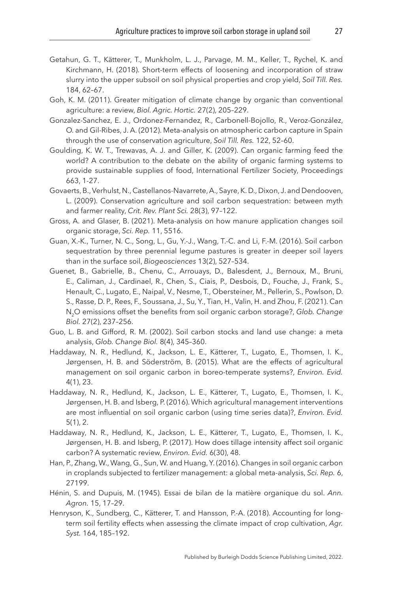- <span id="page-27-11"></span>Getahun, G. T., Kätterer, T., Munkholm, L. J., Parvage, M. M., Keller, T., Rychel, K. and Kirchmann, H. (2018). Short-term effects of loosening and incorporation of straw slurry into the upper subsoil on soil physical properties and crop yield, *Soil Till. Res.* 184, 62–67.
- <span id="page-27-12"></span>Goh, K. M. (2011). Greater mitigation of climate change by organic than conventional agriculture: a review, *Biol. Agric. Hortic.* 27(2), 205–229.
- <span id="page-27-3"></span>Gonzalez-Sanchez, E. J., Ordonez-Fernandez, R., Carbonell-Bojollo, R., Veroz-González, O. and Gil-Ribes, J. A. (2012). Meta-analysis on atmospheric carbon capture in Spain through the use of conservation agriculture, *Soil Till. Res.* 122, 52–60.
- <span id="page-27-13"></span>Goulding, K. W. T., Trewavas, A. J. and Giller, K. (2009). Can organic farming feed the world? A contribution to the debate on the ability of organic farming systems to provide sustainable supplies of food, International Fertilizer Society, Proceedings 663, 1-27.
- <span id="page-27-5"></span>Govaerts, B., Verhulst, N., Castellanos-Navarrete, A., Sayre, K. D., Dixon, J. and Dendooven, L. (2009). Conservation agriculture and soil carbon sequestration: between myth and farmer reality, *Crit. Rev. Plant Sci.* 28(3), 97–122.
- <span id="page-27-1"></span>Gross, A. and Glaser, B. (2021). Meta-analysis on how manure application changes soil organic storage, *Sci. Rep.* 11, 5516.
- <span id="page-27-7"></span>Guan, X.-K., Turner, N. C., Song, L., Gu, Y.-J., Wang, T.-C. and Li, F.-M. (2016). Soil carbon sequestration by three perennial legume pastures is greater in deeper soil layers than in the surface soil, *Biogeosciences* 13(2), 527–534.
- <span id="page-27-14"></span>Guenet, B., Gabrielle, B., Chenu, C., Arrouays, D., Balesdent, J., Bernoux, M., Bruni, E., Caliman, J., Cardinael, R., Chen, S., Ciais, P., Desbois, D., Fouche, J., Frank, S., Henault, C., Lugato, E., Naipal, V., Nesme, T., Obersteiner, M., Pellerin, S., Powlson, D. S., Rasse, D. P., Rees, F., Soussana, J., Su, Y., Tian, H., Valin, H. and Zhou, F. (2021). Can N2O emissions offset the benefits from soil organic carbon storage?, *Glob. Change Biol.* 27(2), 237–256.
- <span id="page-27-8"></span>Guo, L. B. and Gifford, R. M. (2002). Soil carbon stocks and land use change: a meta analysis, *Glob. Change Biol.* 8(4), 345–360.
- <span id="page-27-2"></span>Haddaway, N. R., Hedlund, K., Jackson, L. E., Kätterer, T., Lugato, E., Thomsen, I. K., Jørgensen, H. B. and Söderström, B. (2015). What are the effects of agricultural management on soil organic carbon in boreo-temperate systems?, *Environ. Evid.* 4(1), 23.
- <span id="page-27-10"></span>Haddaway, N. R., Hedlund, K., Jackson, L. E., Kätterer, T., Lugato, E., Thomsen, I. K., Jørgensen, H. B. and Isberg, P. (2016). Which agricultural management interventions are most influential on soil organic carbon (using time series data)?, *Environ. Evid.* 5(1), 2.
- <span id="page-27-6"></span>Haddaway, N. R., Hedlund, K., Jackson, L. E., Kätterer, T., Lugato, E., Thomsen, I. K., Jørgensen, H. B. and Isberg, P. (2017). How does tillage intensity affect soil organic carbon? A systematic review, *Environ. Evid.* 6(30), 48.
- <span id="page-27-4"></span>Han, P., Zhang, W., Wang, G., Sun, W. and Huang, Y. (2016). Changes in soil organic carbon in croplands subjected to fertilizer management: a global meta-analysis, *Sci. Rep.* 6, 27199.
- <span id="page-27-0"></span>Hénin, S. and Dupuis, M. (1945). Essai de bilan de la matière organique du sol. *Ann. Agron.* 15, 17–29.
- <span id="page-27-9"></span>Henryson, K., Sundberg, C., Kätterer, T. and Hansson, P.-A. (2018). Accounting for longterm soil fertility effects when assessing the climate impact of crop cultivation, *Agr. Syst.* 164, 185–192.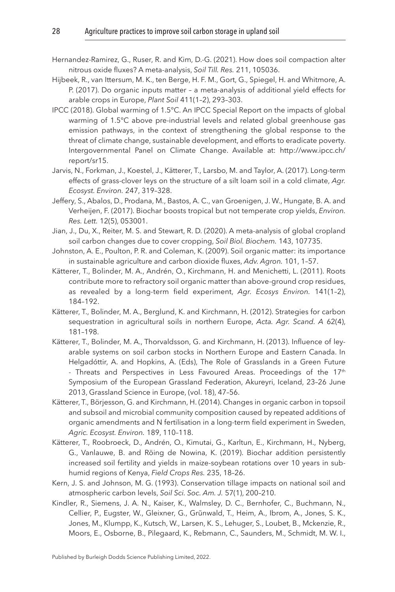- <span id="page-28-13"></span>Hernandez-Ramirez, G., Ruser, R. and Kim, D.-G. (2021). How does soil compaction alter nitrous oxide fluxes? A meta-analysis, *Soil Till. Res.* 211, 105036.
- <span id="page-28-10"></span>Hijbeek, R., van Ittersum, M. K., ten Berge, H. F. M., Gort, G., Spiegel, H. and Whitmore, A. P. (2017). Do organic inputs matter – a meta-analysis of additional yield effects for arable crops in Europe, *Plant Soil* 411(1–2), 293–303.
- <span id="page-28-0"></span>IPCC (2018). Global warming of 1.5°C. An IPCC Special Report on the impacts of global warming of 1.5°C above pre-industrial levels and related global greenhouse gas emission pathways, in the context of strengthening the global response to the threat of climate change, sustainable development, and efforts to eradicate poverty. Intergovernmental Panel on Climate Change. Available at: [http://www.ipcc.ch/](http://dx.doi.org/http://www.ipcc.ch/report/sr15) [report/sr15](http://dx.doi.org/http://www.ipcc.ch/report/sr15).
- <span id="page-28-9"></span>Jarvis, N., Forkman, J., Koestel, J., Kätterer, T., Larsbo, M. and Taylor, A. (2017). Long-term effects of grass-clover leys on the structure of a silt loam soil in a cold climate, *Agr. Ecosyst. Environ.* 247, 319–328.
- <span id="page-28-11"></span>Jeffery, S., Abalos, D., Prodana, M., Bastos, A. C., van Groenigen, J. W., Hungate, B. A. and Verheijen, F. (2017). Biochar boosts tropical but not temperate crop yields, *Environ. Res. Lett.* 12(5), 053001.
- <span id="page-28-4"></span>Jian, J., Du, X., Reiter, M. S. and Stewart, R. D. (2020). A meta-analysis of global cropland soil carbon changes due to cover cropping, *Soil Biol. Biochem.* 143, 107735.
- <span id="page-28-6"></span>Johnston, A. E., Poulton, P. R. and Coleman, K. (2009). Soil organic matter: its importance in sustainable agriculture and carbon dioxide fluxes, *Adv. Agron.* 101, 1–57.
- <span id="page-28-3"></span>Kätterer, T., Bolinder, M. A., Andrén, O., Kirchmann, H. and Menichetti, L. (2011). Roots contribute more to refractory soil organic matter than above-ground crop residues, as revealed by a long-term field experiment, *Agr. Ecosys Environ.* 141(1–2), 184–192.
- <span id="page-28-1"></span>Kätterer, T., Bolinder, M. A., Berglund, K. and Kirchmann, H. (2012). Strategies for carbon sequestration in agricultural soils in northern Europe, *Acta. Agr. Scand. A* 62(4), 181–198.
- <span id="page-28-5"></span>Kätterer, T., Bolinder, M. A., Thorvaldsson, G. and Kirchmann, H. (2013). Influence of leyarable systems on soil carbon stocks in Northern Europe and Eastern Canada. In Helgadóttir, A. and Hopkins, A. (Eds), The Role of Grasslands in a Green Future - Threats and Perspectives in Less Favoured Areas. Proceedings of the  $17<sup>th</sup>$ Symposium of the European Grassland Federation, Akureyri, Iceland, 23–26 June 2013, Grassland Science in Europe, (vol. 18), 47–56.
- <span id="page-28-8"></span>Kätterer, T., Börjesson, G. and Kirchmann, H. (2014). Changes in organic carbon in topsoil and subsoil and microbial community composition caused by repeated additions of organic amendments and N fertilisation in a long-term field experiment in Sweden, *Agric. Ecosyst. Environ.* 189, 110–118.
- <span id="page-28-12"></span>Kätterer, T., Roobroeck, D., Andrén, O., Kimutai, G., Karltun, E., Kirchmann, H., Nyberg, G., Vanlauwe, B. and Röing de Nowina, K. (2019). Biochar addition persistently increased soil fertility and yields in maize-soybean rotations over 10 years in subhumid regions of Kenya, *Field Crops Res.* 235, 18–26.
- <span id="page-28-7"></span>Kern, J. S. and Johnson, M. G. (1993). Conservation tillage impacts on national soil and atmospheric carbon levels, *Soil Sci. Soc. Am. J.* 57(1), 200–210.
- <span id="page-28-2"></span>Kindler, R., Siemens, J. A. N., Kaiser, K., Walmsley, D. C., Bernhofer, C., Buchmann, N., Cellier, P., Eugster, W., Gleixner, G., Grũnwald, T., Heim, A., Ibrom, A., Jones, S. K., Jones, M., Klumpp, K., Kutsch, W., Larsen, K. S., Lehuger, S., Loubet, B., Mckenzie, R., Moors, E., Osborne, B., Pilegaard, K., Rebmann, C., Saunders, M., Schmidt, M. W. I.,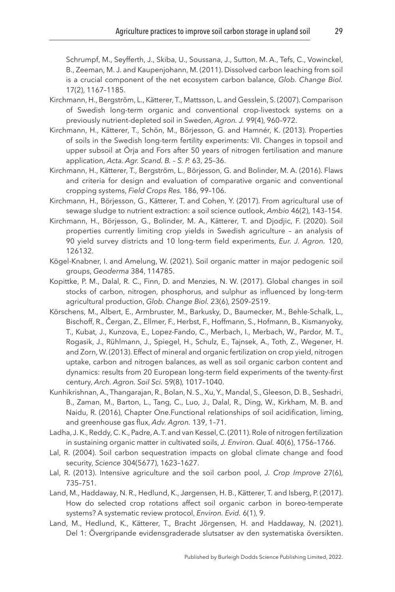Schrumpf, M., Seyfferth, J., Skiba, U., Soussana, J., Sutton, M. A., Tefs, C., Vowinckel, B., Zeeman, M. J. and Kaupenjohann, M. (2011). Dissolved carbon leaching from soil is a crucial component of the net ecosystem carbon balance, *Glob. Change Biol.* 17(2), 1167–1185.

- <span id="page-29-13"></span>Kirchmann, H., Bergström, L., Kätterer, T., Mattsson, L. and Gesslein, S. (2007). Comparison of Swedish long-term organic and conventional crop-livestock systems on a previously nutrient-depleted soil in Sweden, *Agron. J.* 99(4), 960–972.
- <span id="page-29-8"></span>Kirchmann, H., Kätterer, T., Schön, M., Börjesson, G. and Hamnér, K. (2013). Properties of soils in the Swedish long-term fertility experiments: VII. Changes in topsoil and upper subsoil at Örja and Fors after 50 years of nitrogen fertilisation and manure application, *Acta. Agr. Scand. B. – S. P.* 63, 25–36.
- <span id="page-29-12"></span>Kirchmann, H., Kätterer, T., Bergström, L., Börjesson, G. and Bolinder, M. A. (2016). Flaws and criteria for design and evaluation of comparative organic and conventional cropping systems, *Field Crops Res.* 186, 99–106.
- <span id="page-29-6"></span>Kirchmann, H., Börjesson, G., Kätterer, T. and Cohen, Y. (2017). From agricultural use of sewage sludge to nutrient extraction: a soil science outlook, *Ambio* 46(2), 143–154.
- <span id="page-29-10"></span>Kirchmann, H., Börjesson, G., Bolinder, M. A., Kätterer, T. and Djodjic, F. (2020). Soil properties currently limiting crop yields in Swedish agriculture – an analysis of 90 yield survey districts and 10 long-term field experiments, *Eur. J. Agron.* 120, 126132.
- <span id="page-29-9"></span>Kögel-Knabner, I. and Amelung, W. (2021). Soil organic matter in major pedogenic soil groups, *Geoderma* 384, 114785.
- <span id="page-29-4"></span>Kopittke, P. M., Dalal, R. C., Finn, D. and Menzies, N. W. (2017). Global changes in soil stocks of carbon, nitrogen, phosphorus, and sulphur as influenced by long-term agricultural production, *Glob. Change Biol.* 23(6), 2509–2519.
- <span id="page-29-5"></span>Körschens, M., Albert, E., Armbruster, M., Barkusky, D., Baumecker, M., Behle-Schalk, L., Bischoff, R., Čergan, Z., Ellmer, F., Herbst, F., Hoffmann, S., Hofmann, B., Kismanyoky, T., Kubat, J., Kunzova, E., Lopez-Fando, C., Merbach, I., Merbach, W., Pardor, M. T., Rogasik, J., Rühlmann, J., Spiegel, H., Schulz, E., Tajnsek, A., Toth, Z., Wegener, H. and Zorn, W. (2013). Effect of mineral and organic fertilization on crop yield, nitrogen uptake, carbon and nitrogen balances, as well as soil organic carbon content and dynamics: results from 20 European long-term field experiments of the twenty-first century, *Arch. Agron. Soil Sci.* 59(8), 1017–1040.
- <span id="page-29-11"></span>Kunhikrishnan, A., Thangarajan, R., Bolan, N. S., Xu, Y., Mandal, S., Gleeson, D. B., Seshadri, B., Zaman, M., Barton, L., Tang, C., Luo, J., Dalal, R., Ding, W., Kirkham, M. B. and Naidu, R. (2016), Chapter One.Functional relationships of soil acidification, liming, and greenhouse gas flux, *Adv. Agron.* 139, 1–71.
- <span id="page-29-3"></span>Ladha, J. K., Reddy, C. K., Padre, A. T. and van Kessel, C. (2011). Role of nitrogen fertilization in sustaining organic matter in cultivated soils, *J. Environ. Qual.* 40(6), 1756–1766.
- <span id="page-29-1"></span>Lal, R. (2004). Soil carbon sequestration impacts on global climate change and food security, *Science* 304(5677), 1623–1627.
- <span id="page-29-0"></span>Lal, R. (2013). Intensive agriculture and the soil carbon pool, *J. Crop Improve* 27(6), 735–751.
- <span id="page-29-7"></span>Land, M., Haddaway, N. R., Hedlund, K., Jørgensen, H. B., Kätterer, T. and Isberg, P. (2017). How do selected crop rotations affect soil organic carbon in boreo-temperate systems? A systematic review protocol, *Environ. Evid.* 6(1), 9.
- <span id="page-29-2"></span>Land, M., Hedlund, K., Kätterer, T., Bracht Jörgensen, H. and Haddaway, N. (2021). Del 1: Övergripande evidensgraderade slutsatser av den systematiska översikten.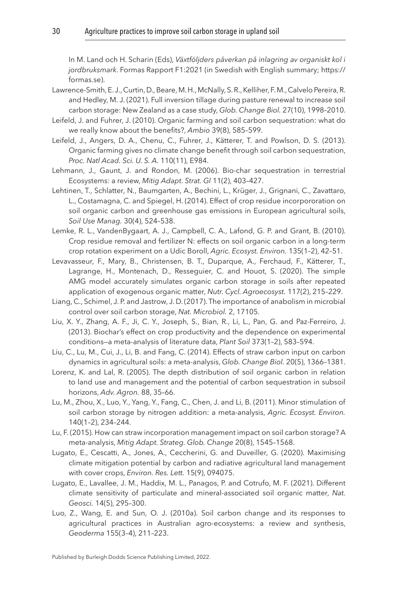In M. Land och H. Scharin (Eds), *Växtföljders påverkan på inlagring av organiskt kol i jordbruksmark*. Formas Rapport F1:2021 (in Swedish with English summary; [https://](http://dx.doi.org/https://formas.se) [formas.se](http://dx.doi.org/https://formas.se)).

- <span id="page-30-9"></span>Lawrence-Smith, E. J., Curtin, D., Beare, M. H., McNally, S. R., Kelliher, F. M., Calvelo Pereira, R. and Hedley, M. J. (2021). Full inversion tillage during pasture renewal to increase soil carbon storage: New Zealand as a case study, *Glob. Change Biol.* 27(10), 1998–2010.
- <span id="page-30-13"></span>Leifeld, J. and Fuhrer, J. (2010). Organic farming and soil carbon sequestration: what do we really know about the benefits?, *Ambio* 39(8), 585–599.
- <span id="page-30-14"></span>Leifeld, J., Angers, D. A., Chenu, C., Fuhrer, J., Kätterer, T. and Powlson, D. S. (2013). Organic farming gives no climate change benefit through soil carbon sequestration, *Proc. Natl Acad. Sci. U. S. A.* 110(11), E984.
- <span id="page-30-11"></span>Lehmann, J., Gaunt, J. and Rondon, M. (2006). Bio-char sequestration in terrestrial Ecosystems: a review, *Mitig Adapt. Strat. Gl* 11(2), 403–427.
- <span id="page-30-5"></span>Lehtinen, T., Schlatter, N., Baumgarten, A., Bechini, L., Krüger, J., Grignani, C., Zavattaro, L., Costamagna, C. and Spiegel, H. (2014). Effect of crop residue incorpororation on soil organic carbon and greenhouse gas emissions in European agricultural soils, *Soil Use Manag.* 30(4), 524–538.
- <span id="page-30-4"></span>Lemke, R. L., VandenBygaart, A. J., Campbell, C. A., Lafond, G. P. and Grant, B. (2010). Crop residue removal and fertilizer N: effects on soil organic carbon in a long-term crop rotation experiment on a Udic Boroll, *Agric. Ecosyst. Environ.* 135(1–2), 42–51.
- <span id="page-30-2"></span>Levavasseur, F., Mary, B., Christensen, B. T., Duparque, A., Ferchaud, F., Kätterer, T., Lagrange, H., Montenach, D., Resseguier, C. and Houot, S. (2020). The simple AMG model accurately simulates organic carbon storage in soils after repeated application of exogenous organic matter, *Nutr. Cycl. Agroecosyst.* 117(2), 215–229.
- <span id="page-30-1"></span>Liang, C., Schimel, J. P. and Jastrow, J. D. (2017). The importance of anabolism in microbial control over soil carbon storage, *Nat. Microbiol.* 2, 17105.
- <span id="page-30-12"></span>Liu, X. Y., Zhang, A. F., Ji, C. Y., Joseph, S., Bian, R., Li, L., Pan, G. and Paz-Ferreiro, J. (2013). Biochar's effect on crop productivity and the dependence on experimental conditions—a meta-analysis of literature data, *Plant Soil* 373(1–2), 583–594.
- <span id="page-30-3"></span>Liu, C., Lu, M., Cui, J., Li, B. and Fang, C. (2014). Effects of straw carbon input on carbon dynamics in agricultural soils: a meta-analysis, *Glob. Change Biol.* 20(5), 1366–1381.
- <span id="page-30-10"></span>Lorenz, K. and Lal, R. (2005). The depth distribution of soil organic carbon in relation to land use and management and the potential of carbon sequestration in subsoil horizons, *Adv. Agron.* 88, 35–66.
- <span id="page-30-8"></span>Lu, M., Zhou, X., Luo, Y., Yang, Y., Fang, C., Chen, J. and Li, B. (2011). Minor stimulation of soil carbon storage by nitrogen addition: a meta-analysis, *Agric. Ecosyst. Environ.* 140(1–2), 234–244.
- <span id="page-30-6"></span>Lu, F. (2015). How can straw incorporation management impact on soil carbon storage? A meta-analysis, *Mitig Adapt. Strateg. Glob. Change* 20(8), 1545–1568.
- <span id="page-30-15"></span>Lugato, E., Cescatti, A., Jones, A., Ceccherini, G. and Duveiller, G. (2020). Maximising climate mitigation potential by carbon and radiative agricultural land management with cover crops, *Environ. Res. Lett.* 15(9), 094075.
- <span id="page-30-0"></span>Lugato, E., Lavallee, J. M., Haddix, M. L., Panagos, P. and Cotrufo, M. F. (2021). Different climate sensitivity of particulate and mineral-associated soil organic matter, *Nat. Geosci.* 14(5), 295–300.
- <span id="page-30-7"></span>Luo, Z., Wang, E. and Sun, O. J. (2010a). Soil carbon change and its responses to agricultural practices in Australian agro-ecosystems: a review and synthesis, *Geoderma* 155(3–4), 211–223.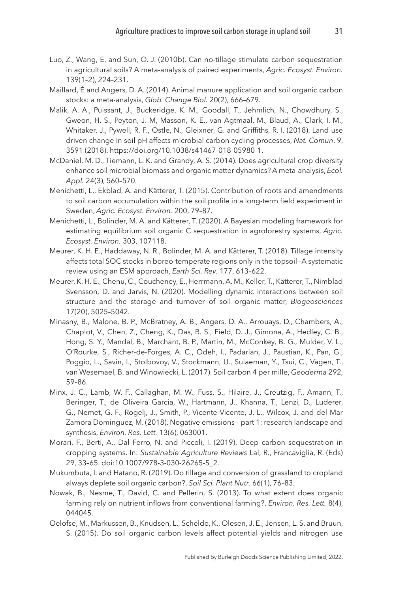- <span id="page-31-5"></span>Luo, Z., Wang, E. and Sun, O. J. (2010b). Can no-tillage stimulate carbon sequestration in agricultural soils? A meta-analysis of paired experiments, *Agric. Ecosyst. Environ.* 139(1–2), 224–231.
- <span id="page-31-3"></span>Maillard, É and Angers, D. A. (2014). Animal manure application and soil organic carbon stocks: a meta-analysis, *Glob. Change Biol.* 20(2), 666–679.
- <span id="page-31-11"></span>Malik, A. A., Puissant, J., Buckeridge, K. M., Goodall, T., Jehmlich, N., Chowdhury, S., Gweon, H. S., Peyton, J. M, Masson, K. E., van Agtmaal, M., Blaud, A., Clark, I. M., Whitaker, J., Pywell, R. F., Ostle, N., Gleixner, G. and Griffiths, R. I. (2018). Land use driven change in soil pH affects microbial carbon cycling processes, *Nat. Comun*. 9, 3591 (2018). [https://doi.org/10.1038/s41467-018-05980-1.](https://doi.org/10.1038/s41467-018-05980-1)
- <span id="page-31-2"></span>McDaniel, M. D., Tiemann, L. K. and Grandy, A. S. (2014). Does agricultural crop diversity enhance soil microbial biomass and organic matter dynamics? A meta-analysis, *Ecol. Appl.* 24(3), 560–570.
- <span id="page-31-8"></span>Menichetti, L., Ekblad, A. and Kätterer, T. (2015). Contribution of roots and amendments to soil carbon accumulation within the soil profile in a long-term field experiment in Sweden, *Agric. Ecosyst. Environ.* 200, 79–87.
- <span id="page-31-12"></span>Menichetti, L., Bolinder, M. A. and Kätterer, T. (2020). A Bayesian modeling framework for estimating equilibrium soil organic C sequestration in agroforestry systems, *Agric. Ecosyst. Environ.* 303, 107118.
- <span id="page-31-6"></span>Meurer, K. H. E., Haddaway, N. R., Bolinder, M. A. and Kätterer, T. (2018). Tillage intensity affects total SOC stocks in boreo-temperate regions only in the topsoil—A systematic review using an ESM approach, *Earth Sci. Rev.* 177, 613–622.
- <span id="page-31-10"></span>Meurer, K. H. E., Chenu, C., Coucheney, E., Herrmann, A. M., Keller, T., Kätterer, T., Nimblad Svensson, D. and Jarvis, N. (2020). Modelling dynamic interactions between soil structure and the storage and turnover of soil organic matter, *Biogeosciences* 17(20), 5025–5042.
- <span id="page-31-1"></span>Minasny, B., Malone, B. P., McBratney, A. B., Angers, D. A., Arrouays, D., Chambers, A., Chaplot, V., Chen, Z., Cheng, K., Das, B. S., Field, D. J., Gimona, A., Hedley, C. B., Hong, S. Y., Mandal, B., Marchant, B. P., Martin, M., McConkey, B. G., Mulder, V. L., O'Rourke, S., Richer-de-Forges, A. C., Odeh, I., Padarian, J., Paustian, K., Pan, G., Poggio, L., Savin, I., Stolbovoy, V., Stockmann, U., Sulaeman, Y., Tsui, C., Vågen, T., van Wesemael, B. and Winowiecki, L. (2017). Soil carbon 4 per mille, *Geoderma* 292, 59–86.
- <span id="page-31-0"></span>Minx, J. C., Lamb, W. F., Callaghan, M. W., Fuss, S., Hilaire, J., Creutzig, F., Amann, T., Beringer, T., de Oliveira Garcia, W., Hartmann, J., Khanna, T., Lenzi, D., Luderer, G., Nemet, G. F., Rogelj, J., Smith, P., Vicente Vicente, J. L., Wilcox, J. and del Mar Zamora Dominguez, M. (2018). Negative emissions – part 1: research landscape and synthesis, *Environ. Res. Lett.* 13(6), 063001.
- <span id="page-31-7"></span>Morari, F., Berti, A., Dal Ferro, N. and Piccoli, I. (2019). Deep carbon sequestration in cropping systems. In: *Sustainable Agriculture Reviews* Lal, R., Francaviglia, R. (Eds) 29, 33–65. doi[:10.1007/978-3-030-26265-5\\_2](http://dx.doi.org/10.1007/978-3-030-26265-5_2).
- <span id="page-31-4"></span>Mukumbuta, I. and Hatano, R. (2019). Do tillage and conversion of grassland to cropland always deplete soil organic carbon?, *Soil Sci. Plant Nutr.* 66(1), 76–83.
- <span id="page-31-13"></span>Nowak, B., Nesme, T., David, C. and Pellerin, S. (2013). To what extent does organic farming rely on nutrient inflows from conventional farming?, *Environ. Res. Lett.* 8(4), 044045.
- <span id="page-31-9"></span>Oelofse, M., Markussen, B., Knudsen, L., Schelde, K., Olesen, J. E., Jensen, L. S. and Bruun, S. (2015). Do soil organic carbon levels affect potential yields and nitrogen use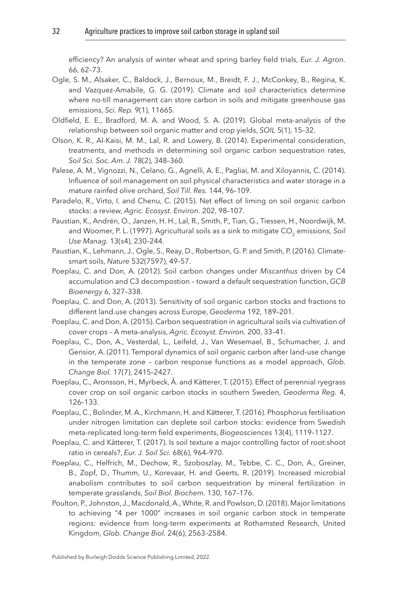efficiency? An analysis of winter wheat and spring barley field trials, *Eur. J. Agron.* 66, 62–73.

- <span id="page-32-9"></span>Ogle, S. M., Alsaker, C., Baldock, J., Bernoux, M., Breidt, F. J., McConkey, B., Regina, K. and Vazquez-Amabile, G. G. (2019). Climate and soil characteristics determine where no-till management can store carbon in soils and mitigate greenhouse gas emissions, *Sci. Rep.* 9(1), 11665.
- <span id="page-32-12"></span>Oldfield, E. E., Bradford, M. A. and Wood, S. A. (2019). Global meta-analysis of the relationship between soil organic matter and crop yields, *SOIL* 5(1), 15–32.
- <span id="page-32-2"></span>Olson, K. R., Al-Kaisi, M. M., Lal, R. and Lowery, B. (2014). Experimental consideration, treatments, and methods in determining soil organic carbon sequestration rates, *Soil Sci. Soc. Am. J.* 78(2), 348–360.
- <span id="page-32-5"></span>Palese, A. M., Vignozzi, N., Celano, G., Agnelli, A. E., Pagliai, M. and Xiloyannis, C. (2014). Influence of soil management on soil physical characteristics and water storage in a mature rainfed olive orchard, *Soil Till. Res.* 144, 96–109.
- <span id="page-32-13"></span>Paradelo, R., Virto, I. and Chenu, C. (2015). Net effect of liming on soil organic carbon stocks: a review, *Agric. Ecosyst. Environ.* 202, 98–107.
- <span id="page-32-8"></span>Paustian, K., Andrén, O., Janzen, H. H., Lal, R., Smith, P., Tian, G., Tiessen, H., Noordwijk, M. and Woomer, P. L. (1997). Agricultural soils as a sink to mitigate CO<sub>2</sub> emissions, Soil *Use Manag.* 13(s4), 230–244.
- <span id="page-32-0"></span>Paustian, K., Lehmann, J., Ogle, S., Reay, D., Robertson, G. P. and Smith, P. (2016). Climatesmart soils, *Nature* 532(7597), 49–57.
- <span id="page-32-14"></span>Poeplau, C. and Don, A. (2012). Soil carbon changes under *Miscanthus* driven by C4 accumulation and C3 decompostion – toward a default sequestration function, *GCB Bioenergy* 6, 327–338.
- <span id="page-32-11"></span>Poeplau, C. and Don, A. (2013). Sensitivity of soil organic carbon stocks and fractions to different [land.use](http://land.use) changes across Europe, *Geoderma* 192, 189–201.
- <span id="page-32-3"></span>Poeplau, C. and Don, A. (2015). Carbon sequestration in agricultural soils via cultivation of cover crops – A meta-analysis, *Agric. Ecosyst. Environ.* 200, 33–41.
- <span id="page-32-7"></span>Poeplau, C., Don, A., Vesterdal, L., Leifeld, J., Van Wesemael, B., Schumacher, J. and Gensior, A. (2011). Temporal dynamics of soil organic carbon after land-use change in the temperate zone – carbon response functions as a model approach, *Glob. Change Biol.* 17(7), 2415–2427.
- <span id="page-32-4"></span>Poeplau, C., Aronsson, H., Myrbeck, Å. and Kätterer, T. (2015). Effect of perennial ryegrass cover crop on soil organic carbon stocks in southern Sweden, *Geoderma Reg.* 4, 126–133.
- <span id="page-32-6"></span>Poeplau, C., Bolinder, M. A., Kirchmann, H. and Kätterer, T. (2016). Phosphorus fertilisation under nitrogen limitation can deplete soil carbon stocks: evidence from Swedish meta-replicated long-term field experiments, *Biogeosciences* 13(4), 1119–1127.
- <span id="page-32-10"></span>Poeplau, C. and Kätterer, T. (2017). Is soil texture a major controlling factor of root:shoot ratio in cereals?, *Eur. J. Soil Sci.* 68(6), 964–970.
- <span id="page-32-1"></span>Poeplau, C., Helfrich, M., Dechow, R., Szoboszlay, M., Tebbe, C. C., Don, A., Greiner, B., Zopf, D., Thumm, U., Korevaar, H. and Geerts, R. (2019). Increased microbial anabolism contributes to soil carbon sequestration by mineral fertilization in temperate grasslands, *Soil Biol. Biochem.* 130, 167–176.
- <span id="page-32-15"></span>Poulton, P., Johnston, J., Macdonald, A., White, R. and Powlson, D. (2018). Major limitations to achieving "4 per 1000" increases in soil organic carbon stock in temperate regions: evidence from long-term experiments at Rothamsted Research, United Kingdom, *Glob. Change Biol.* 24(6), 2563–2584.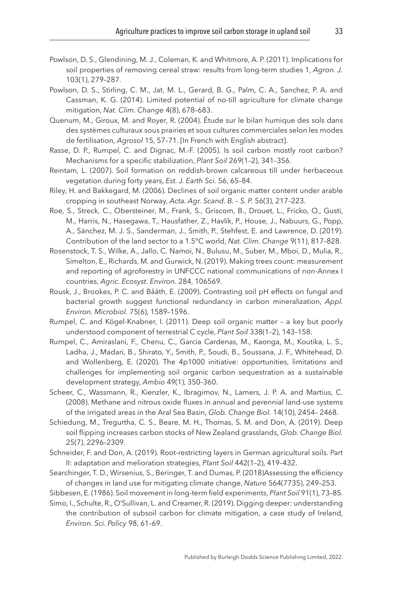- <span id="page-33-2"></span>Powlson, D. S., Glendining, M. J., Coleman, K. and Whitmore, A. P. (2011). Implications for soil properties of removing cereal straw: results from long-term studies 1, *Agron. J.* 103(1), 279–287.
- <span id="page-33-5"></span>Powlson, D. S., Stirling, C. M., Jat, M. L., Gerard, B. G., Palm, C. A., Sanchez, P. A. and Cassman, K. G. (2014). Limited potential of no-till agriculture for climate change mitigation, *Nat. Clim. Change* 4(8), 678–683.
- <span id="page-33-3"></span>Quenum, M., Giroux, M. and Royer, R. (2004). Étude sur le bilan humique des sols dans des systèmes culturaux sous prairies et sous cultures commerciales selon les modes de fertilisation, *Agrosol* 15, 57–71. [In French with English abstract].
- <span id="page-33-1"></span>Rasse, D. P., Rumpel, C. and Dignac, M.-F. (2005). Is soil carbon mostly root carbon? Mechanisms for a specific stabilization, *Plant Soil* 269(1–2), 341–356.
- <span id="page-33-4"></span>Reintam, L. (2007). Soil formation on reddish-brown calcareous till under herbaceous vegetation during forty years, *Est. J. Earth Sci.* 56, 65–84.
- <span id="page-33-10"></span>Riley, H. and Bakkegard, M. (2006). Declines of soil organic matter content under arable cropping in southeast Norway, *Acta. Agr. Scand. B. – S. P.* 56(3), 217–223.
- <span id="page-33-0"></span>Roe, S., Streck, C., Obersteiner, M., Frank, S., Griscom, B., Drouet, L., Fricko, O., Gusti, M., Harris, N., Hasegawa, T., Hausfather, Z., Havlík, P., House, J., Nabuurs, G., Popp, A., Sánchez, M. J. S., Sanderman, J., Smith, P., Stehfest, E. and Lawrence, D. (2019). Contribution of the land sector to a 1.5°C world, *Nat. Clim. Change* 9(11), 817–828.
- <span id="page-33-14"></span>Rosenstock, T. S., Wilke, A., Jallo, C. Namoi, N., Bulusu, M., Suber, M., Mboi, D., Mulia, R., Simelton, E., Richards, M. and Gurwick, N. (2019). Making trees count: measurement and reporting of agroforestry in UNFCCC national communications of non-Annex I countries, *Agric. Ecosyst. Environ.* 284, 106569.
- <span id="page-33-13"></span>Rousk, J., Brookes, P. C. and Bååth, E. (2009). Contrasting soil pH effects on fungal and bacterial growth suggest functional redundancy in carbon mineralization, *Appl. Environ. Microbiol.* 75(6), 1589–1596.
- <span id="page-33-8"></span>Rumpel, C. and Kögel-Knabner, I. (2011). Deep soil organic matter – a key but poorly understood component of terrestrial C cycle, *Plant Soil* 338(1–2), 143–158.
- <span id="page-33-16"></span>Rumpel, C., Amiraslani, F., Chenu, C., Garcia Cardenas, M., Kaonga, M., Koutika, L. S., Ladha, J., Madari, B., Shirato, Y., Smith, P., Soudi, B., Soussana, J. F., Whitehead, D. and Wollenberg, E. (2020). The 4p1000 initiative: opportunities, limitations and challenges for implementing soil organic carbon sequestration as a sustainable development strategy, *Ambio* 49(1), 350–360.
- <span id="page-33-12"></span>Scheer, C., Wassmann, R., Kienzler, K., Ibragimov, N., Lamers, J. P. A. and Martius, C. (2008). Methane and nitrous oxide fluxes in annual and perennial land-use systems of the irrigated areas in the Aral Sea Basin, *Glob. Change Biol.* 14(10), 2454– 2468.
- <span id="page-33-7"></span>Schiedung, M., Tregurtha, C. S., Beare, M. H., Thomas, S. M. and Don, A. (2019). Deep soil flipping increases carbon stocks of New Zealand grasslands, *Glob. Change Biol.* 25(7), 2296–2309.
- <span id="page-33-6"></span>Schneider, F. and Don, A. (2019). Root-restricting layers in German agricultural soils. Part II: adaptation and melioration strategies, *Plant Soil* 442(1–2), 419–432.
- <span id="page-33-15"></span>Searchinger, T. D., Wirsenius, S., Beringer, T. and Dumas, P. (2018)Assessing the efficiency of changes in land use for mitigating climate change, *Nature* 564(7735), 249–253.

<span id="page-33-11"></span>Sibbesen, E. (1986). Soil movement in long-term field experiments, *Plant Soil* 91(1), 73–85.

<span id="page-33-9"></span>Simo, I., Schulte, R., O'Sullivan, L. and Creamer, R. (2019). Digging deeper: understanding the contribution of subsoil carbon for climate mitigation, a case study of Ireland, *Environ. Sci. Policy* 98, 61–69.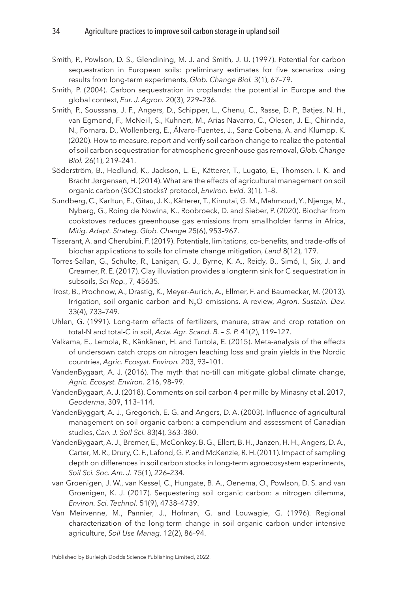- <span id="page-34-1"></span>Smith, P., Powlson, D. S., Glendining, M. J. and Smith, J. U. (1997). Potential for carbon sequestration in European soils: preliminary estimates for five scenarios using results from long-term experiments, *Glob. Change Biol.* 3(1), 67–79.
- <span id="page-34-12"></span>Smith, P. (2004). Carbon sequestration in croplands: the potential in Europe and the global context, *Eur. J. Agron.* 20(3), 229–236.
- <span id="page-34-15"></span>Smith, P., Soussana, J. F., Angers, D., Schipper, L., Chenu, C., Rasse, D. P., Batjes, N. H., van Egmond, F., McNeill, S., Kuhnert, M., Arias-Navarro, C., Olesen, J. E., Chirinda, N., Fornara, D., Wollenberg, E., Álvaro-Fuentes, J., Sanz-Cobena, A. and Klumpp, K. (2020). How to measure, report and verify soil carbon change to realize the potential of soil carbon sequestration for atmospheric greenhouse gas removal, *Glob. Change Biol.* 26(1), 219–241.
- <span id="page-34-0"></span>Söderström, B., Hedlund, K., Jackson, L. E., Kätterer, T., Lugato, E., Thomsen, I. K. and Bracht Jørgensen, H. (2014). What are the effects of agricultural management on soil organic carbon (SOC) stocks? protocol, *Environ. Evid.* 3(1), 1–8.
- <span id="page-34-10"></span>Sundberg, C., Karltun, E., Gitau, J. K., Kätterer, T., Kimutai, G. M., Mahmoud, Y., Njenga, M., Nyberg, G., Roing de Nowina, K., Roobroeck, D. and Sieber, P. (2020). Biochar from cookstoves reduces greenhouse gas emissions from smallholder farms in Africa, *Mitig. Adapt. Strateg. Glob. Change* 25(6), 953–967.
- <span id="page-34-9"></span>Tisserant, A. and Cherubini, F. (2019). Potentials, limitations, co-benefits, and trade-offs of biochar applications to soils for climate change mitigation, *Land* 8(12), 179.
- <span id="page-34-7"></span>Torres-Sallan, G., Schulte, R., Lanigan, G. J., Byrne, K. A., Reidy, B., Simó, I., Six, J. and Creamer, R. E. (2017). Clay illuviation provides a longterm sink for C sequestration in subsoils, *Sci Rep.*, 7, 45635.
- <span id="page-34-11"></span>Trost, B., Prochnow, A., Drastig, K., Meyer-Aurich, A., Ellmer, F. and Baumecker, M. (2013). Irrigation, soil organic carbon and N2O emissions. A review, *Agron. Sustain. Dev.* 33(4), 733–749.
- <span id="page-34-4"></span>Uhlen, G. (1991). Long-term effects of fertilizers, manure, straw and crop rotation on total-N and total-C in soil, *Acta. Agr. Scand. B. – S. P.* 41(2), 119–127.
- <span id="page-34-3"></span>Valkama, E., Lemola, R., Känkänen, H. and Turtola, E. (2015). Meta-analysis of the effects of undersown catch crops on nitrogen leaching loss and grain yields in the Nordic countries, *Agric. Ecosyst. Environ.* 203, 93–101.
- <span id="page-34-5"></span>VandenBygaart, A. J. (2016). The myth that no-till can mitigate global climate change, *Agric. Ecosyst. Environ.* 216, 98–99.
- <span id="page-34-13"></span>VandenBygaart, A. J. (2018). Comments on soil carbon 4 per mille by Minasny et al. 2017, *Geoderma*, 309, 113–114.
- <span id="page-34-2"></span>VandenByggart, A. J., Gregorich, E. G. and Angers, D. A. (2003). Influence of agricultural management on soil organic carbon: a compendium and assessment of Canadian studies, *Can. J. Soil Sci.* 83(4), 363–380.
- <span id="page-34-6"></span>VandenBygaart, A. J., Bremer, E., McConkey, B. G., Ellert, B. H., Janzen, H. H., Angers, D. A., Carter, M. R., Drury, C. F., Lafond, G. P. and McKenzie, R. H. (2011). Impact of sampling depth on differences in soil carbon stocks in long-term agroecosystem experiments, *Soil Sci. Soc. Am. J.* 75(1), 226–234.
- <span id="page-34-14"></span>van Groenigen, J. W., van Kessel, C., Hungate, B. A., Oenema, O., Powlson, D. S. and van Groenigen, K. J. (2017). Sequestering soil organic carbon: a nitrogen dilemma, *Environ. Sci. Technol.* 51(9), 4738–4739.
- <span id="page-34-8"></span>Van Meirvenne, M., Pannier, J., Hofman, G. and Louwagie, G. (1996). Regional characterization of the long-term change in soil organic carbon under intensive agriculture, *Soil Use Manag.* 12(2), 86–94.